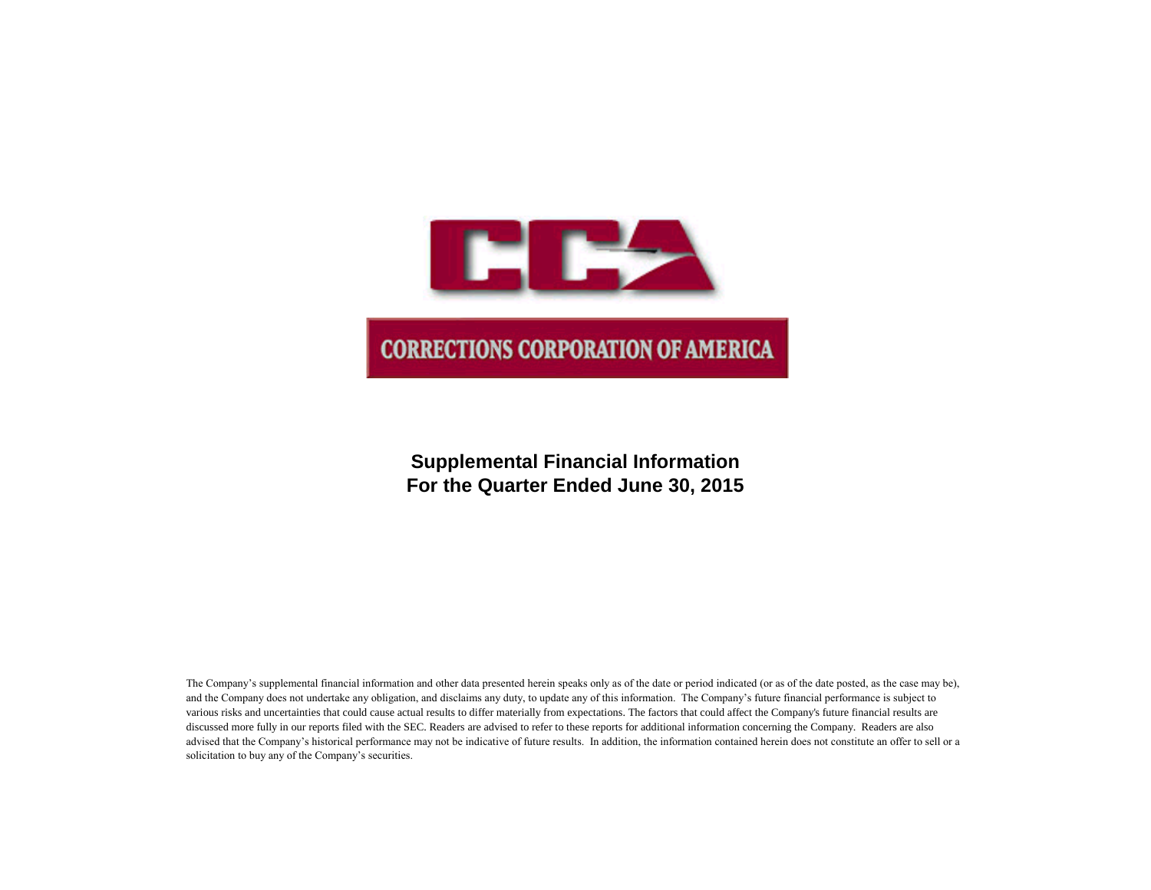

# **Supplemental Financial Information For the Quarter Ended June 30, 2015**

The Company's supplemental financial information and other data presented herein speaks only as of the date or period indicated (or as of the date posted, as the case may be), and the Company does not undertake any obligation, and disclaims any duty, to update any of this information. The Company's future financial performance is subject to various risks and uncertainties that could cause actual results to differ materially from expectations. The factors that could affect the Company's future financial results are discussed more fully in our reports filed with the SEC. Readers are advised to refer to these reports for additional information concerning the Company. Readers are also advised that the Company's historical performance may not be indicative of future results. In addition, the information contained herein does not constitute an offer to sell or a solicitation to buy any of the Company's securities.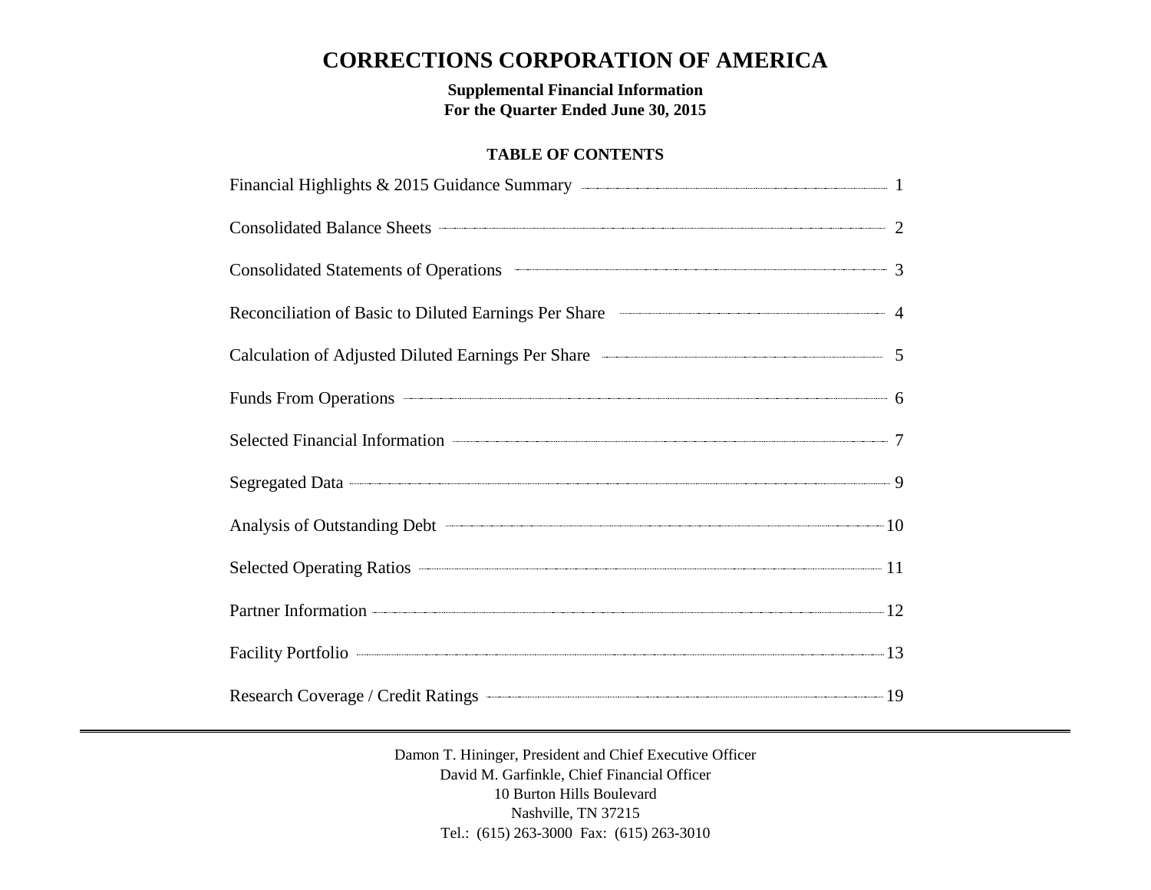# **CORRECTIONS CORPORATION OF AMERICA**

**Supplemental Financial Information For the Quarter Ended June 30, 2015**

## **TABLE OF CONTENTS**

| Consolidated Balance Sheets 2                                                                    |  |
|--------------------------------------------------------------------------------------------------|--|
| Consolidated Statements of Operations <b>Consolidated Statements</b> of Operations 3             |  |
| Reconciliation of Basic to Diluted Earnings Per Share <b>Conserverse Conserverse Authority</b> 4 |  |
| Calculation of Adjusted Diluted Earnings Per Share <b>Calculation</b> 6 5                        |  |
| Funds From Operations 6                                                                          |  |
|                                                                                                  |  |
| Segregated Data 9                                                                                |  |
| Analysis of Outstanding Debt 2014 10                                                             |  |
| Selected Operating Ratios 2014 11                                                                |  |
| Partner Information 22                                                                           |  |
| Facility Portfolio 2008 2014 13                                                                  |  |
|                                                                                                  |  |

Damon T. Hininger, President and Chief Executive Officer David M. Garfinkle, Chief Financial Officer 10 Burton Hills Boulevard Nashville, TN 37215 Tel.: (615) 263-3000 Fax: (615) 263-3010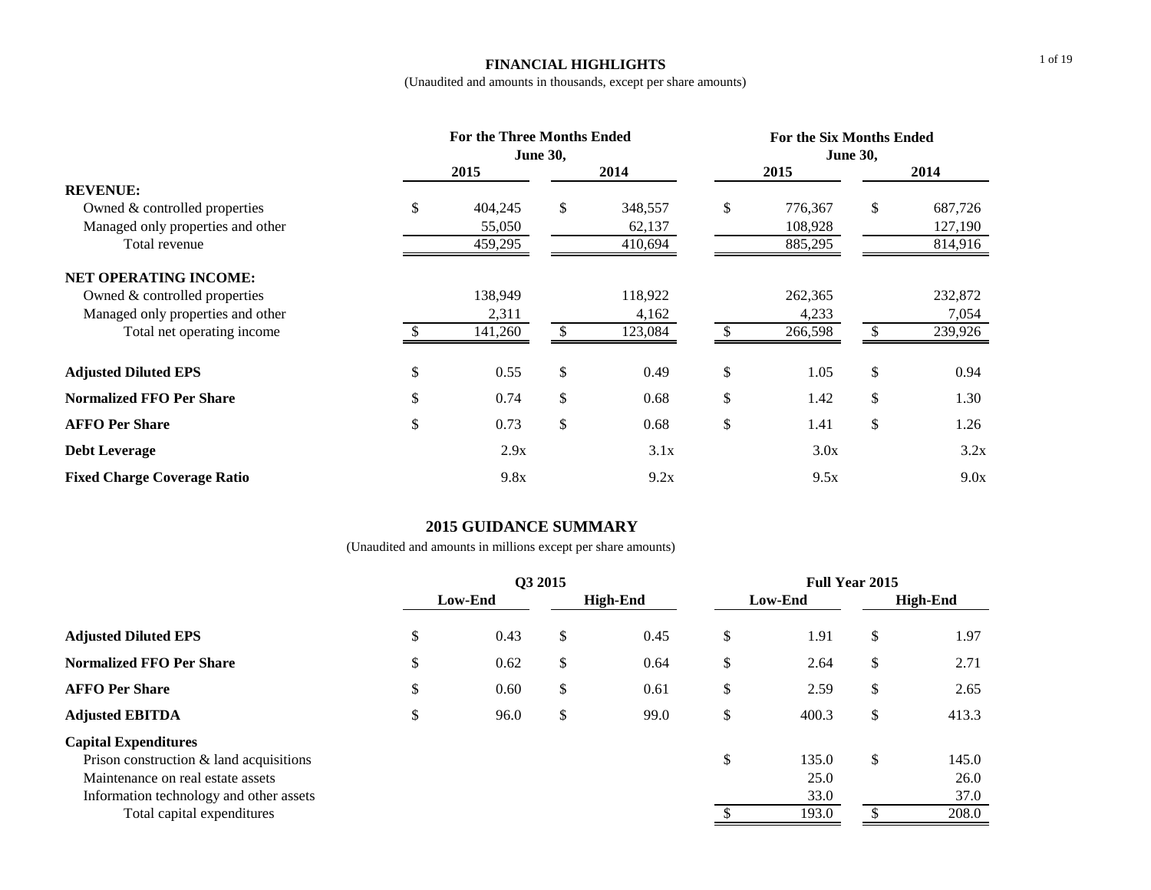### **FINANCIAL HIGHLIGHTS**

(Unaudited and amounts in thousands, except per share amounts)

|                                    | <b>For the Three Months Ended</b> |    |         | For the Six Months Ended |         |                 |         |  |  |
|------------------------------------|-----------------------------------|----|---------|--------------------------|---------|-----------------|---------|--|--|
|                                    | <b>June 30,</b>                   |    |         |                          |         | <b>June 30,</b> |         |  |  |
|                                    | 2015                              |    | 2014    |                          | 2015    |                 | 2014    |  |  |
| <b>REVENUE:</b>                    |                                   |    |         |                          |         |                 |         |  |  |
| Owned & controlled properties      | \$<br>404,245                     | \$ | 348,557 | \$                       | 776,367 | \$              | 687,726 |  |  |
| Managed only properties and other  | 55,050                            |    | 62,137  |                          | 108,928 |                 | 127,190 |  |  |
| Total revenue                      | 459,295                           |    | 410,694 |                          | 885,295 |                 | 814,916 |  |  |
| <b>NET OPERATING INCOME:</b>       |                                   |    |         |                          |         |                 |         |  |  |
| Owned & controlled properties      | 138,949                           |    | 118,922 |                          | 262,365 |                 | 232,872 |  |  |
| Managed only properties and other  | 2,311                             |    | 4,162   |                          | 4,233   |                 | 7,054   |  |  |
| Total net operating income         | 141,260                           | \$ | 123,084 |                          | 266,598 | \$              | 239,926 |  |  |
| <b>Adjusted Diluted EPS</b>        | \$<br>0.55                        | \$ | 0.49    | \$                       | 1.05    | \$              | 0.94    |  |  |
| <b>Normalized FFO Per Share</b>    | \$<br>0.74                        | \$ | 0.68    | \$                       | 1.42    | \$              | 1.30    |  |  |
| <b>AFFO Per Share</b>              | \$<br>0.73                        | \$ | 0.68    | \$                       | 1.41    | \$              | 1.26    |  |  |
| <b>Debt Leverage</b>               | 2.9x                              |    | 3.1x    |                          | 3.0x    |                 | 3.2x    |  |  |
| <b>Fixed Charge Coverage Ratio</b> | 9.8x                              |    | 9.2x    |                          | 9.5x    |                 | 9.0x    |  |  |

### **2015 GUIDANCE SUMMARY**

|                                         | Q3 2015 |      |          |      |         | <b>Full Year 2015</b> |          |       |  |
|-----------------------------------------|---------|------|----------|------|---------|-----------------------|----------|-------|--|
|                                         | Low-End |      | High-End |      | Low-End |                       | High-End |       |  |
| <b>Adjusted Diluted EPS</b>             | \$      | 0.43 | \$       | 0.45 | \$      | 1.91                  | \$       | 1.97  |  |
| <b>Normalized FFO Per Share</b>         | \$      | 0.62 | \$       | 0.64 | \$      | 2.64                  | \$       | 2.71  |  |
| <b>AFFO Per Share</b>                   | \$      | 0.60 | \$       | 0.61 | \$      | 2.59                  | \$       | 2.65  |  |
| <b>Adjusted EBITDA</b>                  | \$      | 96.0 | \$       | 99.0 | \$      | 400.3                 | \$       | 413.3 |  |
| <b>Capital Expenditures</b>             |         |      |          |      |         |                       |          |       |  |
| Prison construction & land acquisitions |         |      |          |      | \$      | 135.0                 | \$       | 145.0 |  |
| Maintenance on real estate assets       |         |      |          |      |         | 25.0                  |          | 26.0  |  |
| Information technology and other assets |         |      |          |      |         | 33.0                  |          | 37.0  |  |
| Total capital expenditures              |         |      |          |      |         | 193.0                 |          | 208.0 |  |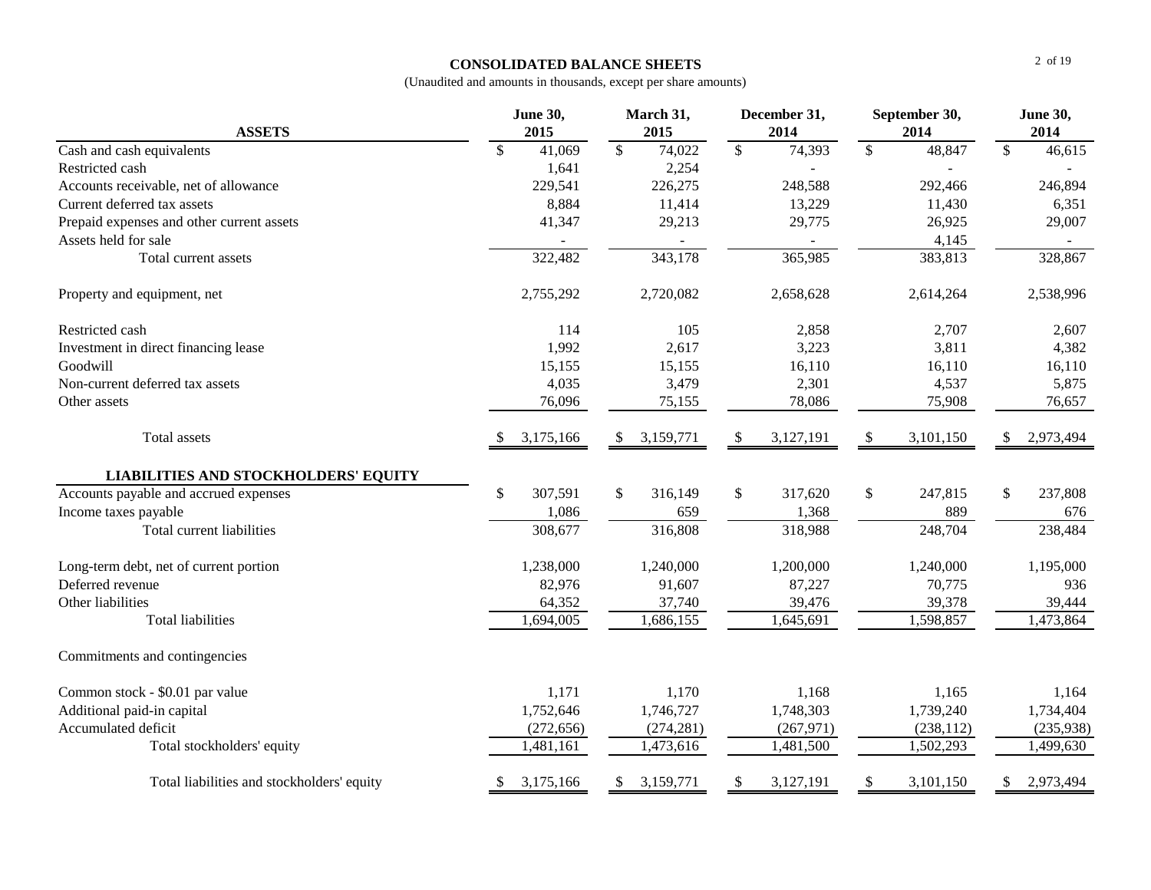### **CONSOLIDATED BALANCE SHEETS**

|                                             | <b>June 30,</b>        | March 31,              | December 31,           | September 30,           | <b>June 30,</b>          |  |
|---------------------------------------------|------------------------|------------------------|------------------------|-------------------------|--------------------------|--|
| <b>ASSETS</b>                               | 2015                   | 2015                   | 2014                   | 2014                    | 2014                     |  |
| Cash and cash equivalents                   | $\mathbb{S}$<br>41,069 | 74,022<br>$\mathbb{S}$ | 74,393<br>$\mathbb{S}$ | 48,847<br>$\mathcal{S}$ | \$<br>46,615             |  |
| Restricted cash                             | 1,641                  | 2,254                  |                        |                         |                          |  |
| Accounts receivable, net of allowance       | 229,541                | 226,275                | 248,588                | 292,466                 | 246,894                  |  |
| Current deferred tax assets                 | 8,884                  | 11,414                 | 13,229                 | 11,430                  | 6,351                    |  |
| Prepaid expenses and other current assets   | 41,347                 | 29,213                 | 29,775                 | 26,925                  | 29,007                   |  |
| Assets held for sale                        |                        |                        |                        | 4,145                   | $\overline{\phantom{a}}$ |  |
| Total current assets                        | 322,482                | 343,178                | 365,985                | 383,813                 | 328,867                  |  |
| Property and equipment, net                 | 2,755,292              | 2,720,082              | 2,658,628              | 2,614,264               | 2,538,996                |  |
| Restricted cash                             | 114                    | 105                    | 2,858                  | 2,707                   | 2,607                    |  |
| Investment in direct financing lease        | 1,992                  | 2,617                  | 3,223                  | 3,811                   | 4,382                    |  |
| Goodwill                                    | 15,155                 | 15,155                 | 16,110                 | 16,110                  | 16,110                   |  |
| Non-current deferred tax assets             | 4,035                  | 3,479                  | 2,301                  | 4,537                   | 5,875                    |  |
| Other assets                                | 76,096                 | 75,155                 | 78,086                 | 75,908                  | 76,657                   |  |
| Total assets                                | 3,175,166              | 3,159,771              | 3,127,191              | 3,101,150<br>\$         | 2,973,494                |  |
| <b>LIABILITIES AND STOCKHOLDERS' EQUITY</b> |                        |                        |                        |                         |                          |  |
| Accounts payable and accrued expenses       | \$<br>307,591          | \$<br>316,149          | \$<br>317,620          | \$<br>247,815           | \$<br>237,808            |  |
| Income taxes payable                        | 1,086                  | 659                    | 1,368                  | 889                     | 676                      |  |
| Total current liabilities                   | 308,677                | 316,808                | 318,988                | 248,704                 | 238,484                  |  |
| Long-term debt, net of current portion      | 1,238,000              | 1,240,000              | 1,200,000              | 1,240,000               | 1,195,000                |  |
| Deferred revenue                            | 82,976                 | 91,607                 | 87,227                 | 70,775                  | 936                      |  |
| Other liabilities                           | 64,352                 | 37,740                 | 39,476                 | 39,378                  | 39,444                   |  |
| <b>Total liabilities</b>                    | 1,694,005              | 1,686,155              | 1,645,691              | 1,598,857               | 1,473,864                |  |
| Commitments and contingencies               |                        |                        |                        |                         |                          |  |
| Common stock - \$0.01 par value             | 1,171                  | 1,170                  | 1,168                  | 1,165                   | 1,164                    |  |
| Additional paid-in capital                  | 1,752,646              | 1,746,727              | 1,748,303              | 1,739,240               | 1,734,404                |  |
| Accumulated deficit                         | (272, 656)             | (274, 281)             | (267, 971)             | (238, 112)              | (235,938)                |  |
| Total stockholders' equity                  | 1,481,161              | 1,473,616              | 1,481,500              | 1,502,293               | 1,499,630                |  |
| Total liabilities and stockholders' equity  | 3,175,166              | 3,159,771<br>S         | 3,127,191<br>\$        | 3,101,150<br>\$         | 2,973,494<br>\$          |  |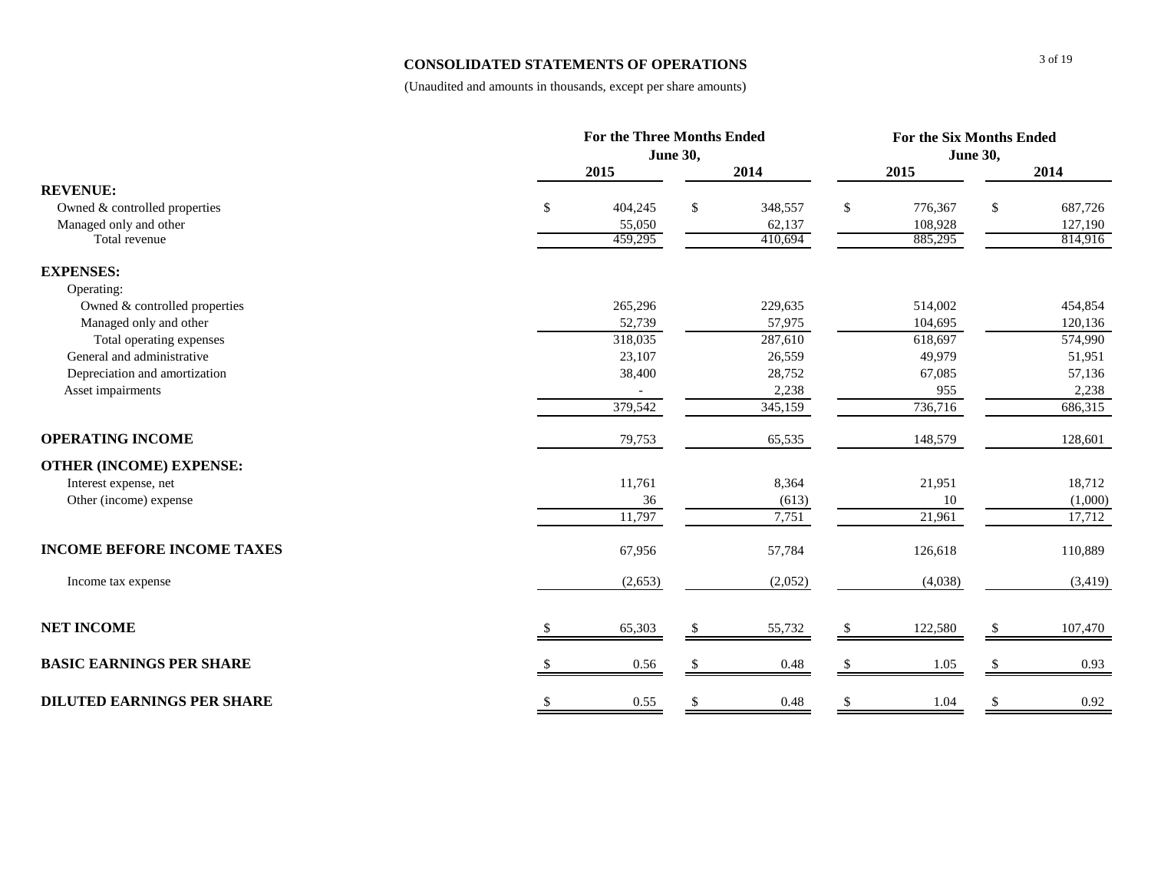### **CONSOLIDATED STATEMENTS OF OPERATIONS**

|                                   | <b>For the Three Months Ended</b> |    |         |    | <b>For the Six Months Ended</b> |                 |          |  |
|-----------------------------------|-----------------------------------|----|---------|----|---------------------------------|-----------------|----------|--|
|                                   | <b>June 30,</b>                   |    |         |    |                                 | <b>June 30,</b> |          |  |
|                                   | 2015                              |    | 2014    |    | 2015                            |                 | 2014     |  |
| <b>REVENUE:</b>                   |                                   |    |         |    |                                 |                 |          |  |
| Owned & controlled properties     | \$<br>404,245                     | \$ | 348,557 | \$ | 776,367                         | \$              | 687,726  |  |
| Managed only and other            | 55,050                            |    | 62,137  |    | 108,928                         |                 | 127,190  |  |
| Total revenue                     | 459,295                           |    | 410,694 |    | 885,295                         |                 | 814,916  |  |
| <b>EXPENSES:</b>                  |                                   |    |         |    |                                 |                 |          |  |
| Operating:                        |                                   |    |         |    |                                 |                 |          |  |
| Owned & controlled properties     | 265,296                           |    | 229,635 |    | 514,002                         |                 | 454,854  |  |
| Managed only and other            | 52,739                            |    | 57,975  |    | 104,695                         |                 | 120,136  |  |
| Total operating expenses          | 318,035                           |    | 287,610 |    | 618,697                         |                 | 574,990  |  |
| General and administrative        | 23,107                            |    | 26,559  |    | 49,979                          |                 | 51,951   |  |
| Depreciation and amortization     | 38,400                            |    | 28,752  |    | 67,085                          |                 | 57,136   |  |
| Asset impairments                 |                                   |    | 2,238   |    | 955                             |                 | 2,238    |  |
|                                   | 379,542                           |    | 345,159 |    | 736,716                         |                 | 686,315  |  |
| <b>OPERATING INCOME</b>           | 79,753                            |    | 65,535  |    | 148,579                         |                 | 128,601  |  |
| <b>OTHER (INCOME) EXPENSE:</b>    |                                   |    |         |    |                                 |                 |          |  |
| Interest expense, net             | 11,761                            |    | 8,364   |    | 21,951                          |                 | 18,712   |  |
| Other (income) expense            | 36                                |    | (613)   |    | 10                              |                 | (1,000)  |  |
|                                   | 11,797                            |    | 7,751   |    | 21,961                          |                 | 17,712   |  |
| <b>INCOME BEFORE INCOME TAXES</b> | 67,956                            |    | 57,784  |    | 126,618                         |                 | 110,889  |  |
| Income tax expense                | (2,653)                           |    | (2,052) |    | (4,038)                         |                 | (3, 419) |  |
| <b>NET INCOME</b>                 | 65,303                            | -S | 55,732  | -S | 122,580                         | -S              | 107,470  |  |
|                                   |                                   |    |         |    |                                 |                 |          |  |
| <b>BASIC EARNINGS PER SHARE</b>   | 0.56                              |    | 0.48    |    | 1.05                            |                 | 0.93     |  |
| <b>DILUTED EARNINGS PER SHARE</b> | \$<br>0.55                        | \$ | 0.48    | \$ | 1.04                            | \$              | 0.92     |  |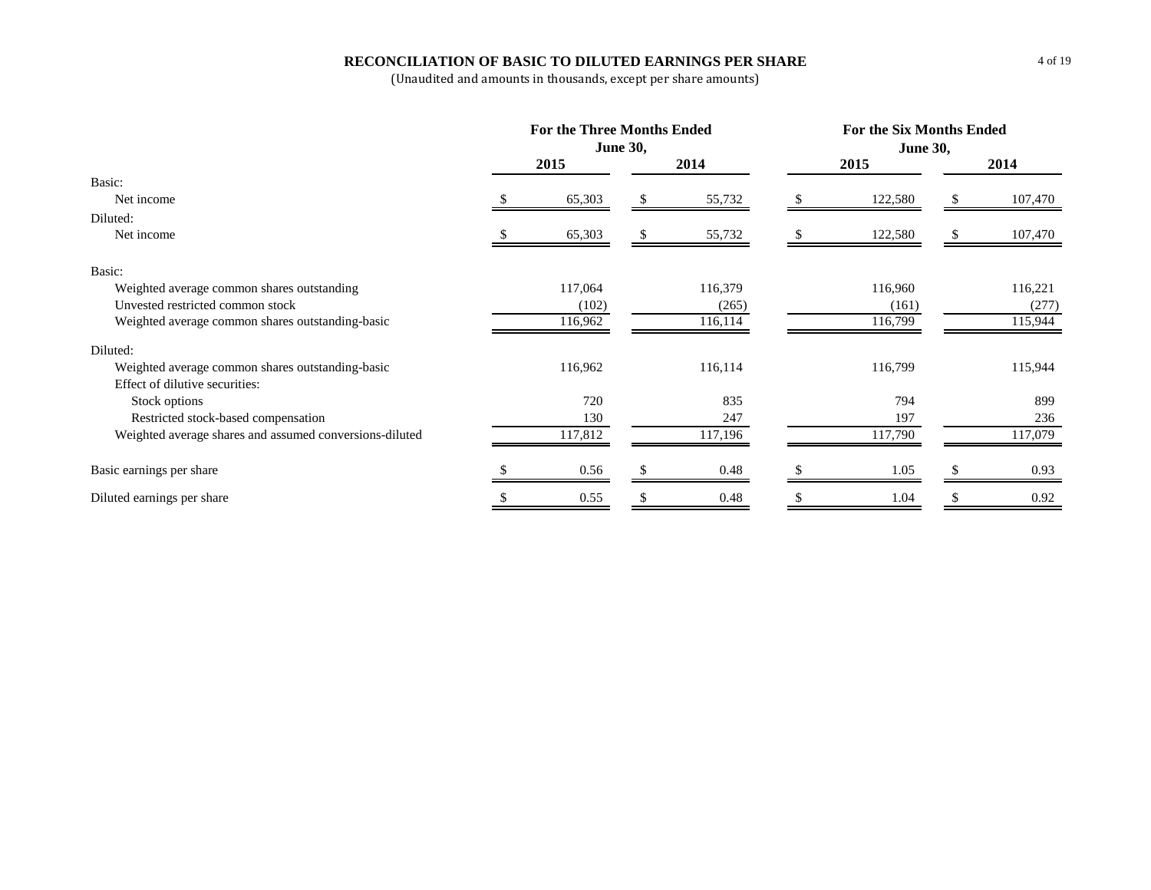### **RECONCILIATION OF BASIC TO DILUTED EARNINGS PER SHARE**

|                                                         | <b>For the Three Months Ended</b> |         |                 |         |                 | <b>For the Six Months Ended</b> |  |         |  |  |
|---------------------------------------------------------|-----------------------------------|---------|-----------------|---------|-----------------|---------------------------------|--|---------|--|--|
|                                                         |                                   |         | <b>June 30,</b> |         | <b>June 30,</b> |                                 |  |         |  |  |
|                                                         |                                   | 2015    |                 | 2014    |                 | 2015                            |  | 2014    |  |  |
| Basic:                                                  |                                   |         |                 |         |                 |                                 |  |         |  |  |
| Net income                                              |                                   | 65,303  |                 | 55,732  |                 | 122,580                         |  | 107,470 |  |  |
| Diluted:                                                |                                   |         |                 |         |                 |                                 |  |         |  |  |
| Net income                                              |                                   | 65,303  |                 | 55,732  |                 | 122,580                         |  | 107,470 |  |  |
| Basic:                                                  |                                   |         |                 |         |                 |                                 |  |         |  |  |
| Weighted average common shares outstanding              |                                   | 117,064 |                 | 116,379 |                 | 116,960                         |  | 116,221 |  |  |
| Unvested restricted common stock                        |                                   | (102)   |                 | (265)   |                 | (161)                           |  | (277)   |  |  |
| Weighted average common shares outstanding-basic        |                                   | 116,962 |                 | 116,114 |                 | 116,799                         |  | 115,944 |  |  |
| Diluted:                                                |                                   |         |                 |         |                 |                                 |  |         |  |  |
| Weighted average common shares outstanding-basic        |                                   | 116,962 |                 | 116,114 |                 | 116,799                         |  | 115,944 |  |  |
| Effect of dilutive securities:                          |                                   |         |                 |         |                 |                                 |  |         |  |  |
| Stock options                                           |                                   | 720     |                 | 835     |                 | 794                             |  | 899     |  |  |
| Restricted stock-based compensation                     |                                   | 130     |                 | 247     |                 | 197                             |  | 236     |  |  |
| Weighted average shares and assumed conversions-diluted |                                   | 117,812 |                 | 117,196 |                 | 117,790                         |  | 117,079 |  |  |
| Basic earnings per share                                |                                   | 0.56    |                 | 0.48    |                 | 1.05                            |  | 0.93    |  |  |
| Diluted earnings per share                              |                                   | 0.55    |                 | 0.48    |                 | 1.04                            |  | 0.92    |  |  |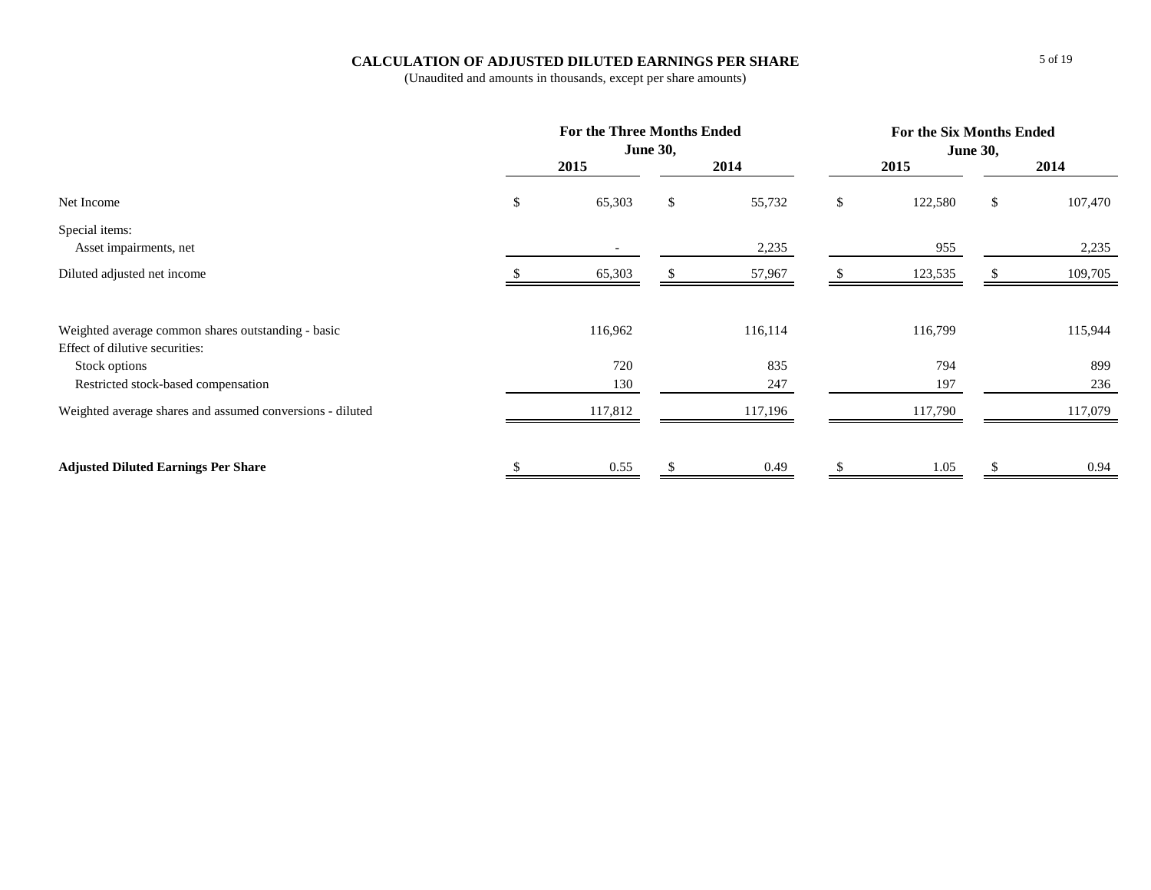### **CALCULATION OF ADJUSTED DILUTED EARNINGS PER SHARE**

|                                                                                      | <b>For the Three Months Ended</b> | <b>June 30,</b> |            | For the Six Months Ended<br><b>June 30,</b> |               |  |
|--------------------------------------------------------------------------------------|-----------------------------------|-----------------|------------|---------------------------------------------|---------------|--|
|                                                                                      | 2015                              |                 | 2014       | 2015                                        | 2014          |  |
| Net Income                                                                           | \$<br>65,303                      | \$              | 55,732     | \$<br>122,580                               | \$<br>107,470 |  |
| Special items:<br>Asset impairments, net                                             |                                   |                 | 2,235      | 955                                         | 2,235         |  |
| Diluted adjusted net income                                                          | 65,303                            |                 | 57,967     | 123,535                                     | 109,705       |  |
| Weighted average common shares outstanding - basic<br>Effect of dilutive securities: | 116,962                           |                 | 116,114    | 116,799                                     | 115,944       |  |
| Stock options<br>Restricted stock-based compensation                                 | 720<br>130                        |                 | 835<br>247 | 794<br>197                                  | 899<br>236    |  |
| Weighted average shares and assumed conversions - diluted                            | 117,812                           |                 | 117,196    | 117,790                                     | 117,079       |  |
| <b>Adjusted Diluted Earnings Per Share</b>                                           | 0.55                              |                 | 0.49       | 1.05                                        | 0.94          |  |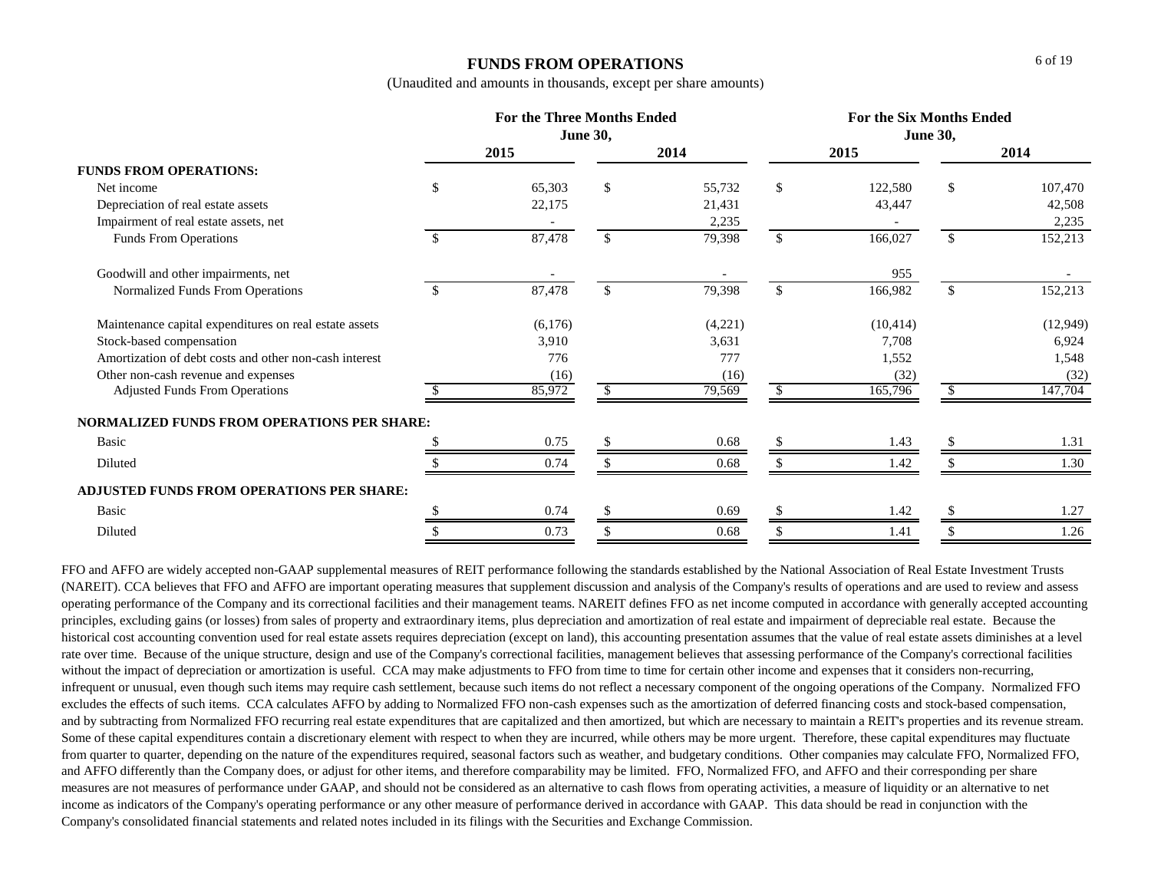#### **FUNDS FROM OPERATIONS**

(Unaudited and amounts in thousands, except per share amounts)

|                                                        |               | <b>For the Three Months Ended</b> | <b>June 30,</b> |         |               | For the Six Months Ended | <b>June 30,</b> |           |
|--------------------------------------------------------|---------------|-----------------------------------|-----------------|---------|---------------|--------------------------|-----------------|-----------|
|                                                        |               | 2015                              |                 | 2014    |               | 2015                     |                 | 2014      |
| <b>FUNDS FROM OPERATIONS:</b>                          |               |                                   |                 |         |               |                          |                 |           |
| Net income                                             | \$            | 65,303                            | \$              | 55,732  | \$            | 122,580                  | \$              | 107,470   |
| Depreciation of real estate assets                     |               | 22,175                            |                 | 21,431  |               | 43,447                   |                 | 42,508    |
| Impairment of real estate assets, net                  |               |                                   |                 | 2,235   |               |                          |                 | 2,235     |
| <b>Funds From Operations</b>                           |               | 87,478                            | S.              | 79,398  | \$.           | 166,027                  | -\$             | 152,213   |
| Goodwill and other impairments, net                    |               |                                   |                 |         |               | 955                      |                 |           |
| Normalized Funds From Operations                       | <sup>\$</sup> | 87,478                            | \$              | 79,398  | \$            | 166,982                  | <sup>\$</sup>   | 152,213   |
| Maintenance capital expenditures on real estate assets |               | (6,176)                           |                 | (4,221) |               | (10, 414)                |                 | (12, 949) |
| Stock-based compensation                               |               | 3,910                             |                 | 3,631   |               | 7,708                    |                 | 6,924     |
| Amortization of debt costs and other non-cash interest |               | 776                               |                 | 777     |               | 1,552                    |                 | 1,548     |
| Other non-cash revenue and expenses                    |               | (16)                              |                 | (16)    |               | (32)                     |                 | (32)      |
| <b>Adjusted Funds From Operations</b>                  |               | 85,972                            | S.              | 79,569  | $\mathcal{S}$ | 165,796                  |                 | 147,704   |
| <b>NORMALIZED FUNDS FROM OPERATIONS PER SHARE:</b>     |               |                                   |                 |         |               |                          |                 |           |
| <b>Basic</b>                                           |               | 0.75                              |                 | 0.68    |               | 1.43                     |                 | 1.31      |
| Diluted                                                |               | 0.74                              |                 | 0.68    |               | 1.42                     |                 | 1.30      |
| <b>ADJUSTED FUNDS FROM OPERATIONS PER SHARE:</b>       |               |                                   |                 |         |               |                          |                 |           |
| Basic                                                  |               | 0.74                              |                 | 0.69    |               | 1.42                     |                 | 1.27      |
| Diluted                                                |               | 0.73                              |                 | 0.68    |               | 1.41                     |                 | 1.26      |

FFO and AFFO are widely accepted non-GAAP supplemental measures of REIT performance following the standards established by the National Association of Real Estate Investment Trusts (NAREIT). CCA believes that FFO and AFFO are important operating measures that supplement discussion and analysis of the Company's results of operations and are used to review and assess operating performance of the Company and its correctional facilities and their management teams. NAREIT defines FFO as net income computed in accordance with generally accepted accounting principles, excluding gains (or losses) from sales of property and extraordinary items, plus depreciation and amortization of real estate and impairment of depreciable real estate. Because the historical cost accounting convention used for real estate assets requires depreciation (except on land), this accounting presentation assumes that the value of real estate assets diminishes at a level rate over time. Because of the unique structure, design and use of the Company's correctional facilities, management believes that assessing performance of the Company's correctional facilities without the impact of depreciation or amortization is useful. CCA may make adjustments to FFO from time to time for certain other income and expenses that it considers non-recurring, infrequent or unusual, even though such items may require cash settlement, because such items do not reflect a necessary component of the ongoing operations of the Company. Normalized FFO excludes the effects of such items. CCA calculates AFFO by adding to Normalized FFO non-cash expenses such as the amortization of deferred financing costs and stock-based compensation, and by subtracting from Normalized FFO recurring real estate expenditures that are capitalized and then amortized, but which are necessary to maintain a REIT's properties and its revenue stream. Some of these capital expenditures contain a discretionary element with respect to when they are incurred, while others may be more urgent. Therefore, these capital expenditures may fluctuate from quarter to quarter, depending on the nature of the expenditures required, seasonal factors such as weather, and budgetary conditions. Other companies may calculate FFO, Normalized FFO, and AFFO differently than the Company does, or adjust for other items, and therefore comparability may be limited. FFO, Normalized FFO, and AFFO and their corresponding per share measures are not measures of performance under GAAP, and should not be considered as an alternative to cash flows from operating activities, a measure of liquidity or an alternative to net income as indicators of the Company's operating performance or any other measure of performance derived in accordance with GAAP. This data should be read in conjunction with the Company's consolidated financial statements and related notes included in its filings with the Securities and Exchange Commission.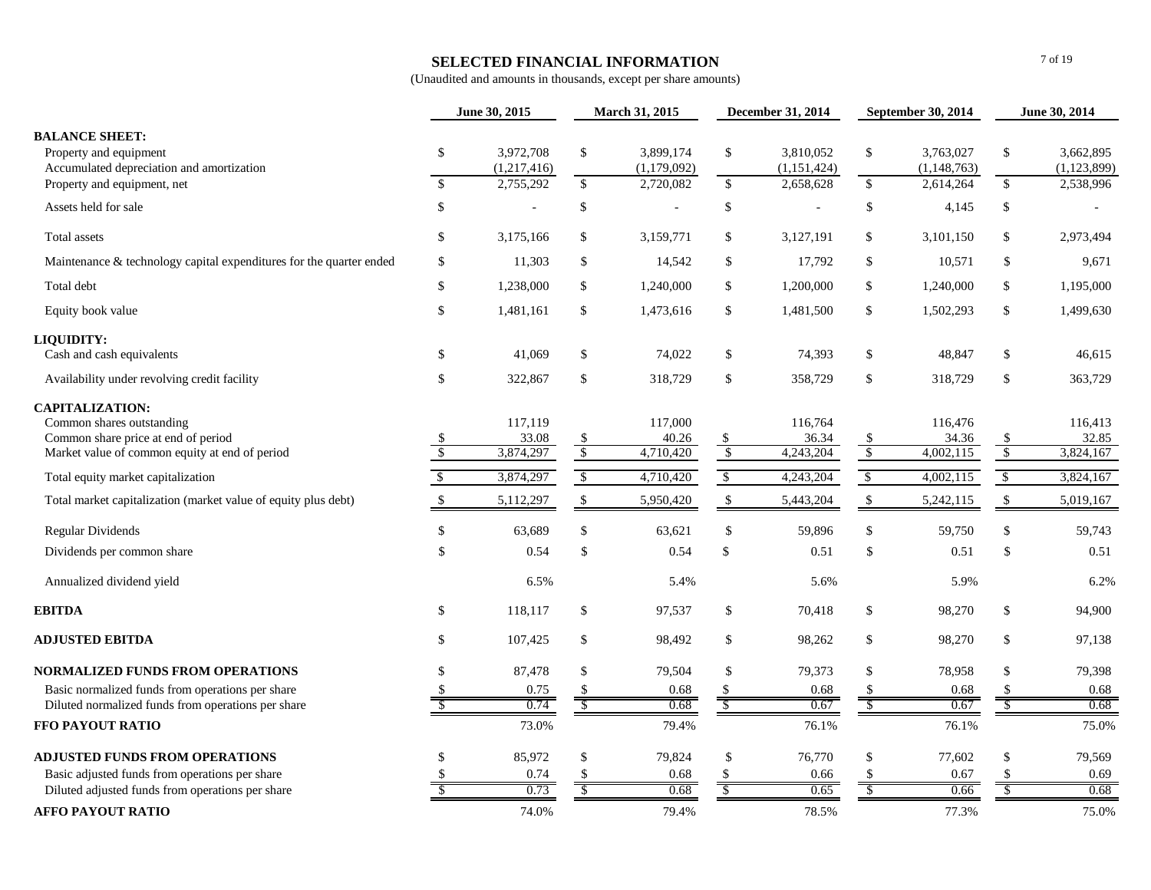## **SELECTED FINANCIAL INFORMATION**

|                                                                                                                                              |                           | June 30, 2015                         |                                           | March 31, 2015                        |                           | December 31, 2014             | September 30, 2014             |                               | June 30, 2014            |                               |
|----------------------------------------------------------------------------------------------------------------------------------------------|---------------------------|---------------------------------------|-------------------------------------------|---------------------------------------|---------------------------|-------------------------------|--------------------------------|-------------------------------|--------------------------|-------------------------------|
| <b>BALANCE SHEET:</b><br>Property and equipment<br>Accumulated depreciation and amortization                                                 | \$<br>$\mathbb{S}$        | 3.972.708<br>(1,217,416)<br>2,755,292 | \$                                        | 3.899.174<br>(1,179,092)<br>2,720,082 | \$<br>$\sqrt{3}$          | 3.810.052<br>(1,151,424)      | $\$\,$<br>$\sqrt{3}$           | 3.763.027<br>(1,148,763)      | $\mathbb{S}$             | 3.662.895<br>(1, 123, 899)    |
| Property and equipment, net                                                                                                                  |                           |                                       | $\mathcal{S}$                             |                                       |                           | 2,658,628                     |                                | 2,614,264                     | $\mathcal{S}$            | 2,538,996                     |
| Assets held for sale                                                                                                                         | \$                        | $\overline{a}$                        | \$                                        | $\overline{a}$                        | \$                        | $\overline{a}$                | $\boldsymbol{\mathsf{S}}$      | 4,145                         | \$                       |                               |
| Total assets                                                                                                                                 | \$                        | 3,175,166                             | \$                                        | 3,159,771                             | \$                        | 3,127,191                     | $\mathbb{S}$                   | 3,101,150                     | $\mathbb{S}$             | 2,973,494                     |
| Maintenance & technology capital expenditures for the quarter ended                                                                          | \$                        | 11,303                                | \$                                        | 14,542                                | \$                        | 17,792                        | \$                             | 10,571                        | $\mathbb{S}$             | 9,671                         |
| Total debt                                                                                                                                   | \$                        | 1,238,000                             | \$                                        | 1,240,000                             | \$                        | 1,200,000                     | \$                             | 1,240,000                     | \$                       | 1,195,000                     |
| Equity book value                                                                                                                            | \$                        | 1,481,161                             | \$                                        | 1,473,616                             | \$                        | 1,481,500                     | $\mathcal{S}$                  | 1,502,293                     | $\mathbb{S}$             | 1,499,630                     |
| <b>LIQUIDITY:</b>                                                                                                                            |                           |                                       |                                           |                                       |                           |                               |                                |                               |                          |                               |
| Cash and cash equivalents                                                                                                                    | \$                        | 41,069                                | \$                                        | 74,022                                | \$                        | 74,393                        | $\$$                           | 48,847                        | $\mathbb{S}$             | 46,615                        |
| Availability under revolving credit facility                                                                                                 | \$                        | 322,867                               | \$                                        | 318,729                               | \$                        | 358,729                       | $\sqrt{\ }$                    | 318,729                       | \$                       | 363,729                       |
| <b>CAPITALIZATION:</b><br>Common shares outstanding<br>Common share price at end of period<br>Market value of common equity at end of period | $\sqrt{2}$                | 117,119<br>33.08<br>3,874,297         | $\frac{1}{3}$                             | 117,000<br>40.26<br>4,710,420         | $\frac{\$}{\$}$           | 116,764<br>36.34<br>4,243,204 | \$<br>$\overline{\$}$          | 116,476<br>34.36<br>4,002,115 | $\sqrt[6]{}$             | 116,413<br>32.85<br>3,824,167 |
| Total equity market capitalization                                                                                                           | $\mathcal{S}$             | 3,874,297                             | $\sqrt[6]{\frac{1}{2}}$                   | 4,710,420                             | $\sqrt[6]{\frac{1}{2}}$   | 4,243,204                     | $\sqrt[6]{\frac{1}{2}}$        | 4,002,115                     | $\sqrt[6]{\frac{1}{2}}$  | 3,824,167                     |
| Total market capitalization (market value of equity plus debt)                                                                               | $\$\,$                    | 5,112,297                             | $\mathbb{S}$                              | 5,950,420                             | $\mathbb{S}$              | 5,443,204                     | $\mathcal{S}$                  | 5,242,115                     | $\mathbb{S}$             | 5,019,167                     |
| <b>Regular Dividends</b>                                                                                                                     | \$                        | 63,689                                | \$                                        | 63,621                                | \$                        | 59,896                        | \$                             | 59,750                        | $\$\,$                   | 59,743                        |
| Dividends per common share                                                                                                                   | $\mathcal{S}$             | 0.54                                  | \$                                        | 0.54                                  | \$                        | 0.51                          | \$                             | 0.51                          | \$                       | 0.51                          |
| Annualized dividend yield                                                                                                                    |                           | 6.5%                                  |                                           | 5.4%                                  |                           | 5.6%                          |                                | 5.9%                          |                          | 6.2%                          |
| <b>EBITDA</b>                                                                                                                                | $\$$                      | 118,117                               | \$                                        | 97,537                                | \$                        | 70,418                        | \$                             | 98,270                        | $\mathsf{\$}$            | 94,900                        |
| <b>ADJUSTED EBITDA</b>                                                                                                                       | \$                        | 107,425                               | \$                                        | 98,492                                | \$                        | 98,262                        | \$                             | 98,270                        | $\mathbb{S}$             | 97,138                        |
| <b>NORMALIZED FUNDS FROM OPERATIONS</b>                                                                                                      | \$                        | 87,478                                | \$                                        | 79,504                                | \$                        | 79,373                        | \$                             | 78,958                        | \$                       | 79,398                        |
| Basic normalized funds from operations per share                                                                                             | $\overline{\overline{3}}$ | 0.75                                  | $\mathcal{S}$<br>$\overline{\mathcal{S}}$ | 0.68                                  | $\overline{\overline{s}}$ | 0.68                          | \$<br>$\overline{\mathcal{S}}$ | 0.68                          | \$<br>$\overline{s}$     | 0.68                          |
| Diluted normalized funds from operations per share<br>FFO PAYOUT RATIO                                                                       |                           | 0.74<br>73.0%                         |                                           | 0.68<br>79.4%                         |                           | 0.67<br>76.1%                 |                                | 0.67<br>76.1%                 |                          | 0.68<br>75.0%                 |
|                                                                                                                                              |                           |                                       |                                           |                                       |                           |                               |                                |                               |                          |                               |
| <b>ADJUSTED FUNDS FROM OPERATIONS</b>                                                                                                        | \$                        | 85,972                                | \$                                        | 79,824                                | \$                        | 76,770                        | \$                             | 77,602                        | \$                       | 79,569                        |
| Basic adjusted funds from operations per share<br>Diluted adjusted funds from operations per share                                           |                           | 0.74<br>0.73                          | $\overline{\mathcal{S}}$                  | 0.68<br>0.68                          | $\overline{\overline{s}}$ | 0.66<br>0.65                  | $\overline{\mathcal{S}}$       | 0.67<br>0.66                  | $\overline{\mathcal{S}}$ | 0.69<br>0.68                  |
| <b>AFFO PAYOUT RATIO</b>                                                                                                                     |                           | 74.0%                                 |                                           | 79.4%                                 |                           | 78.5%                         |                                | 77.3%                         |                          | 75.0%                         |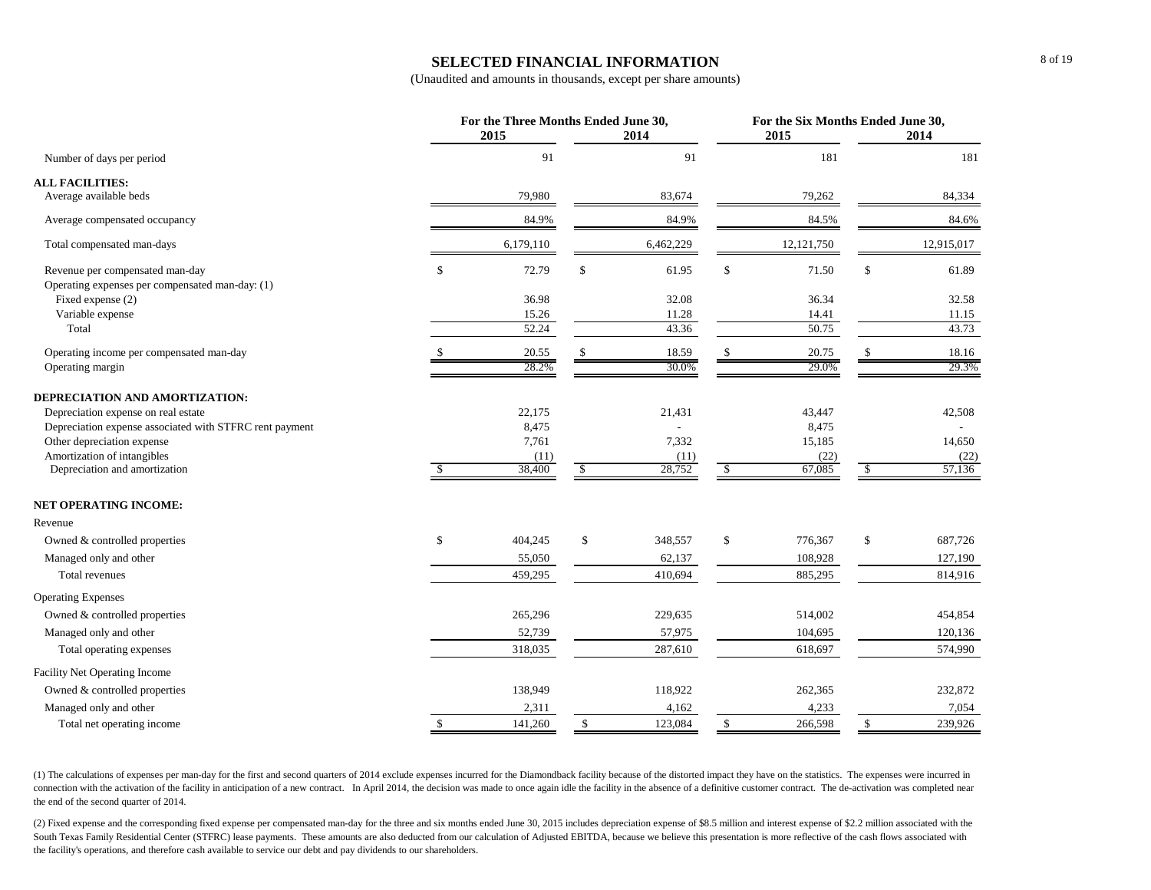### **SELECTED FINANCIAL INFORMATION**

(Unaudited and amounts in thousands, except per share amounts)

|                                                                                    |               | For the Three Months Ended June 30,<br>2015 |               | 2014           |               | For the Six Months Ended June 30,<br>2015 |               | 2014           |
|------------------------------------------------------------------------------------|---------------|---------------------------------------------|---------------|----------------|---------------|-------------------------------------------|---------------|----------------|
| Number of days per period                                                          |               | 91                                          |               | 91             |               | 181                                       |               | 181            |
| <b>ALL FACILITIES:</b>                                                             |               |                                             |               |                |               |                                           |               |                |
| Average available beds                                                             |               | 79,980                                      |               | 83,674         |               | 79,262                                    |               | 84,334         |
| Average compensated occupancy                                                      |               | 84.9%                                       |               | 84.9%          |               | 84.5%                                     |               | 84.6%          |
| Total compensated man-days                                                         |               | 6,179,110                                   |               | 6,462,229      |               | 12,121,750                                |               | 12,915,017     |
| Revenue per compensated man-day<br>Operating expenses per compensated man-day: (1) | \$            | 72.79                                       | \$            | 61.95          | \$            | 71.50                                     | $\mathbb{S}$  | 61.89          |
| Fixed expense (2)                                                                  |               | 36.98                                       |               | 32.08          |               | 36.34                                     |               | 32.58          |
| Variable expense                                                                   |               | 15.26                                       |               | 11.28          |               | 14.41                                     |               | 11.15          |
| Total                                                                              |               | 52.24                                       |               | 43.36          |               | 50.75                                     |               | 43.73          |
| Operating income per compensated man-day                                           |               | 20.55                                       | $\mathbb{S}$  | 18.59          | $\mathbb{S}$  | 20.75                                     | $\mathcal{S}$ | 18.16          |
| Operating margin                                                                   |               | 28.2%                                       |               | 30.0%          |               | 29.0%                                     |               | 29.3%          |
| DEPRECIATION AND AMORTIZATION:                                                     |               |                                             |               |                |               |                                           |               |                |
| Depreciation expense on real estate                                                |               | 22,175                                      |               | 21,431         |               | 43,447                                    |               | 42,508         |
| Depreciation expense associated with STFRC rent payment                            |               | 8,475                                       |               |                |               | 8,475                                     |               |                |
| Other depreciation expense                                                         |               | 7,761                                       |               | 7,332          |               | 15,185                                    |               | 14,650         |
| Amortization of intangibles<br>Depreciation and amortization                       |               | (11)<br>38,400                              | <sup>\$</sup> | (11)<br>28,752 | $\mathbb{S}$  | (22)<br>67,085                            | $\mathbb{S}$  | (22)<br>57,136 |
|                                                                                    |               |                                             |               |                |               |                                           |               |                |
| <b>NET OPERATING INCOME:</b>                                                       |               |                                             |               |                |               |                                           |               |                |
| Revenue                                                                            |               |                                             |               |                |               |                                           |               |                |
| Owned & controlled properties                                                      | \$            | 404,245                                     | \$            | 348,557        | \$            | 776,367                                   | \$            | 687,726        |
| Managed only and other                                                             |               | 55,050                                      |               | 62,137         |               | 108,928                                   |               | 127,190        |
| <b>Total revenues</b>                                                              |               | 459,295                                     |               | 410,694        |               | 885,295                                   |               | 814,916        |
| <b>Operating Expenses</b>                                                          |               |                                             |               |                |               |                                           |               |                |
| Owned & controlled properties                                                      |               | 265,296                                     |               | 229,635        |               | 514,002                                   |               | 454,854        |
| Managed only and other                                                             |               | 52,739                                      |               | 57,975         |               | 104,695                                   |               | 120,136        |
| Total operating expenses                                                           |               | 318,035                                     |               | 287,610        |               | 618,697                                   |               | 574,990        |
| Facility Net Operating Income                                                      |               |                                             |               |                |               |                                           |               |                |
| Owned & controlled properties                                                      |               | 138,949                                     |               | 118,922        |               | 262,365                                   |               | 232,872        |
| Managed only and other                                                             |               | 2,311                                       |               | 4,162          |               | 4,233                                     |               | 7,054          |
| Total net operating income                                                         | $\mathcal{S}$ | 141,260                                     | \$            | 123,084        | $\mathcal{S}$ | 266,598                                   | $\mathbb{S}$  | 239,926        |

(1) The calculations of expenses per man-day for the first and second quarters of 2014 exclude expenses incurred for the Diamondback facility because of the distorted impact they have on the statistics. The expenses were i connection with the activation of the facility in anticipation of a new contract. In April 2014, the decision was made to once again idle the facility in the absence of a definitive customer contract. The de-activation was the end of the second quarter of 2014.

(2) Fixed expense and the corresponding fixed expense per compensated man-day for the three and six months ended June 30, 2015 includes depreciation expense of \$8.5 million and interest expense of \$2.2 million associated w South Texas Family Residential Center (STFRC) lease payments. These amounts are also deducted from our calculation of Adjusted EBITDA, because we believe this presentation is more reflective of the cash flows associated wi the facility's operations, and therefore cash available to service our debt and pay dividends to our shareholders.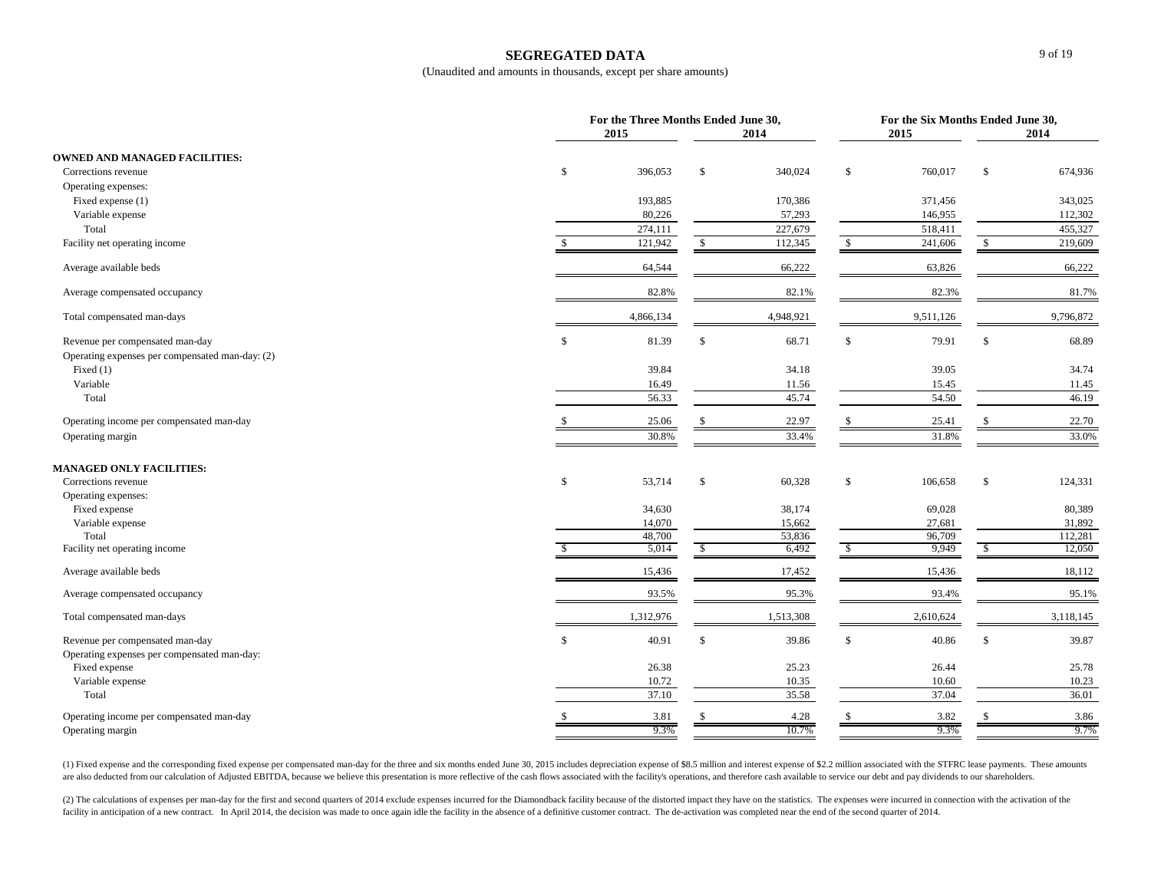#### **SEGREGATED DATA**

#### (Unaudited and amounts in thousands, except per share amounts)

|                                                                                |               | For the Three Months Ended June 30,<br>2015 |              | 2014      |               | For the Six Months Ended June 30,<br>2015 |              | 2014      |
|--------------------------------------------------------------------------------|---------------|---------------------------------------------|--------------|-----------|---------------|-------------------------------------------|--------------|-----------|
| <b>OWNED AND MANAGED FACILITIES:</b>                                           |               |                                             |              |           |               |                                           |              |           |
| Corrections revenue                                                            | $\mathbb{S}$  | 396,053                                     | $\$$         | 340,024   | $\mathcal{S}$ | 760,017                                   | \$           | 674,936   |
| Operating expenses:                                                            |               |                                             |              |           |               |                                           |              |           |
| Fixed expense (1)                                                              |               | 193,885                                     |              | 170,386   |               | 371,456                                   |              | 343,025   |
| Variable expense                                                               |               | 80,226                                      |              | 57,293    |               | 146,955                                   |              | 112,302   |
| Total                                                                          |               | 274,111                                     |              | 227,679   |               | 518,411                                   |              | 455,327   |
| Facility net operating income                                                  | $\mathcal{S}$ | 121,942                                     | $\mathbb{S}$ | 112,345   | $\mathbb{S}$  | 241,606                                   | $\mathbb{S}$ | 219,609   |
| Average available beds                                                         |               | 64,544                                      |              | 66,222    |               | 63,826                                    |              | 66,222    |
| Average compensated occupancy                                                  |               | 82.8%                                       |              | 82.1%     |               | 82.3%                                     |              | 81.7%     |
| Total compensated man-days                                                     |               | 4,866,134                                   |              | 4,948,921 |               | 9,511,126                                 |              | 9,796,872 |
| Revenue per compensated man-day                                                | $\mathbb{S}$  | 81.39                                       | <b>S</b>     | 68.71     | $\mathcal{S}$ | 79.91                                     | \$.          | 68.89     |
| Operating expenses per compensated man-day: (2)                                |               |                                             |              |           |               |                                           |              |           |
| Fixed $(1)$                                                                    |               | 39.84                                       |              | 34.18     |               | 39.05                                     |              | 34.74     |
| Variable                                                                       |               | 16.49                                       |              | 11.56     |               | 15.45                                     |              | 11.45     |
| Total                                                                          |               | 56.33                                       |              | 45.74     |               | 54.50                                     |              | 46.19     |
| Operating income per compensated man-day                                       |               | 25.06                                       | \$.          | 22.97     | $\mathcal{S}$ | 25.41                                     | \$.          | 22.70     |
| Operating margin                                                               |               | 30.8%                                       |              | 33.4%     |               | 31.8%                                     |              | 33.0%     |
| <b>MANAGED ONLY FACILITIES:</b>                                                |               |                                             |              |           |               |                                           |              |           |
| Corrections revenue                                                            | $\mathbb{S}$  | 53,714                                      | $\$$         | 60,328    | $\mathcal{S}$ | 106,658                                   | \$           | 124,331   |
| Operating expenses:                                                            |               |                                             |              |           |               |                                           |              |           |
| Fixed expense                                                                  |               | 34,630                                      |              | 38,174    |               | 69,028                                    |              | 80,389    |
| Variable expense                                                               |               | 14,070                                      |              | 15,662    |               | 27,681                                    |              | 31,892    |
| Total                                                                          |               | 48,700                                      |              | 53,836    |               | 96,709                                    |              | 112,281   |
| Facility net operating income                                                  |               | 5,014                                       | \$           | 6,492     | -\$           | 9,949                                     | \$           | 12,050    |
| Average available beds                                                         |               | 15,436                                      |              | 17,452    |               | 15,436                                    |              | 18,112    |
| Average compensated occupancy                                                  |               | 93.5%                                       |              | 95.3%     |               | 93.4%                                     |              | 95.1%     |
| Total compensated man-days                                                     |               | 1,312,976                                   |              | 1,513,308 |               | 2,610,624                                 |              | 3,118,145 |
| Revenue per compensated man-day<br>Operating expenses per compensated man-day: | $\mathbb{S}$  | 40.91                                       | $\$$         | 39.86     | $\mathcal{S}$ | 40.86                                     | \$           | 39.87     |
| Fixed expense                                                                  |               | 26.38                                       |              | 25.23     |               | 26.44                                     |              | 25.78     |
| Variable expense                                                               |               | 10.72                                       |              | 10.35     |               | 10.60                                     |              | 10.23     |
| Total                                                                          |               | 37.10                                       |              | 35.58     |               | 37.04                                     |              | 36.01     |
| Operating income per compensated man-day                                       |               | 3.81                                        |              | 4.28      |               | 3.82                                      |              | 3.86      |
| Operating margin                                                               |               | 9.3%                                        |              | 10.7%     |               | 9.3%                                      |              | 9.7%      |

(1) Fixed expense and the corresponding fixed expense per compensated man-day for the three and six months ended June 30, 2015 includes depreciation expense of \$8.5 million and interest expense of \$2.2 million associated w are also deducted from our calculation of Adjusted EBITDA, because we believe this presentation is more reflective of the cash flows associated with the facility's operations, and therefore cash available to service our de

(2) The calculations of expenses per man-day for the first and second quarters of 2014 exclude expenses incurred for the Diamondback facility because of the distorted impact they have on the statistics. The expenses were i facility in anticipation of a new contract. In April 2014, the decision was made to once again idle the facility in the absence of a definitive customer contract. The de-activation was completed near the end of the second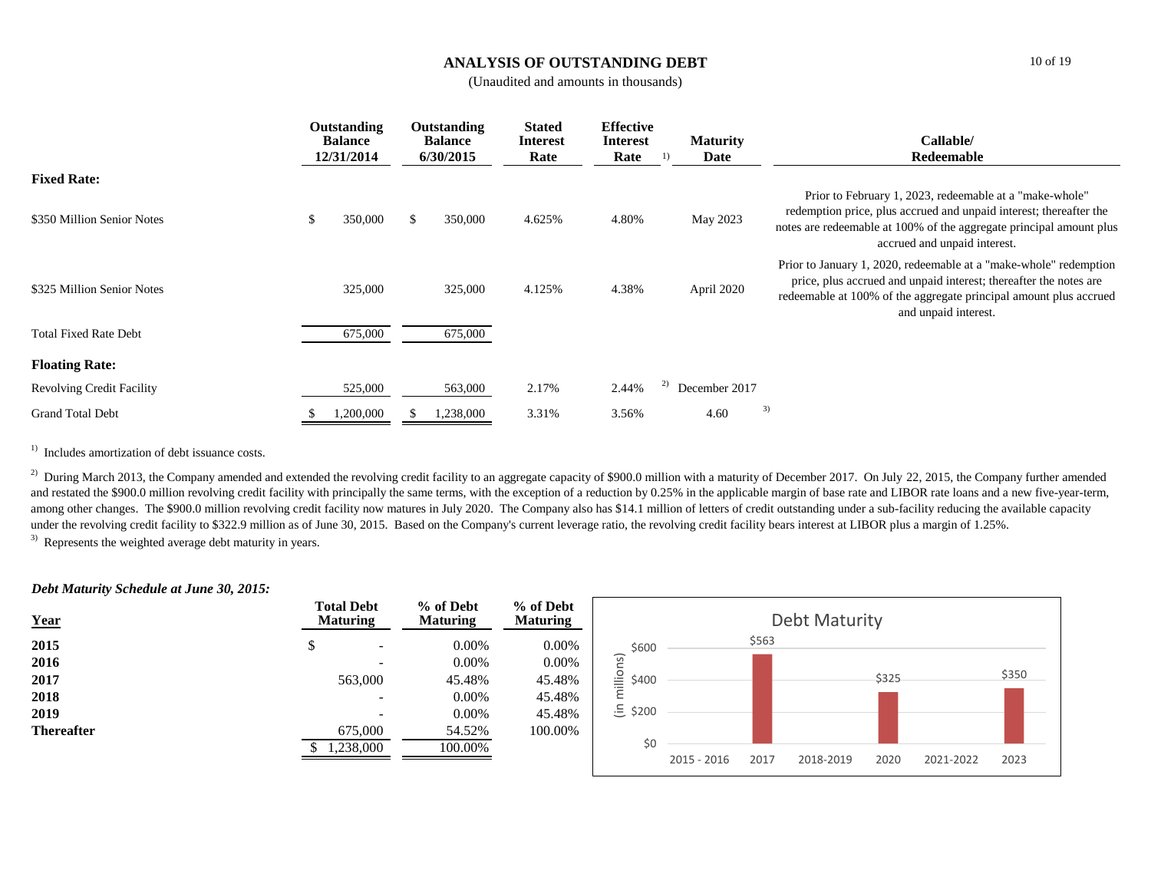#### **ANALYSIS OF OUTSTANDING DEBT**

(Unaudited and amounts in thousands)

|                                  |   | Outstanding<br><b>Balance</b><br>12/31/2014 |     | <b>Outstanding</b><br><b>Balance</b><br>6/30/2015 | <b>Stated</b><br><b>Interest</b><br>Rate | <b>Effective</b><br>Interest<br>Rate |    | <b>Maturity</b><br>Date | Callable/<br>Redeemable                                                                                                                                                                                                              |
|----------------------------------|---|---------------------------------------------|-----|---------------------------------------------------|------------------------------------------|--------------------------------------|----|-------------------------|--------------------------------------------------------------------------------------------------------------------------------------------------------------------------------------------------------------------------------------|
| <b>Fixed Rate:</b>               |   |                                             |     |                                                   |                                          |                                      |    |                         |                                                                                                                                                                                                                                      |
| \$350 Million Senior Notes       | S | 350,000                                     | \$. | 350,000                                           | 4.625%                                   | 4.80%                                |    | May 2023                | Prior to February 1, 2023, redeemable at a "make-whole"<br>redemption price, plus accrued and unpaid interest; thereafter the<br>notes are redeemable at 100% of the aggregate principal amount plus<br>accrued and unpaid interest. |
| \$325 Million Senior Notes       |   | 325,000                                     |     | 325,000                                           | 4.125%                                   | 4.38%                                |    | April 2020              | Prior to January 1, 2020, redeemable at a "make-whole" redemption<br>price, plus accrued and unpaid interest; thereafter the notes are<br>redeemable at 100% of the aggregate principal amount plus accrued<br>and unpaid interest.  |
| <b>Total Fixed Rate Debt</b>     |   | 675,000                                     |     | 675,000                                           |                                          |                                      |    |                         |                                                                                                                                                                                                                                      |
| <b>Floating Rate:</b>            |   |                                             |     |                                                   |                                          |                                      |    |                         |                                                                                                                                                                                                                                      |
| <b>Revolving Credit Facility</b> |   | 525,000                                     |     | 563,000                                           | 2.17%                                    | 2.44%                                | 2) | December 2017           |                                                                                                                                                                                                                                      |
| <b>Grand Total Debt</b>          |   | 1,200,000                                   |     | 1,238,000                                         | 3.31%                                    | 3.56%                                |    | 4.60                    | 3)                                                                                                                                                                                                                                   |

<sup>1)</sup> Includes amortization of debt issuance costs.

<sup>2)</sup> During March 2013, the Company amended and extended the revolving credit facility to an aggregate capacity of \$900.0 million with a maturity of December 2017. On July 22, 2015, the Company further amended and restated the \$900.0 million revolving credit facility with principally the same terms, with the exception of a reduction by 0.25% in the applicable margin of base rate and LIBOR rate loans and a new five-year-term, among other changes. The \$900.0 million revolving credit facility now matures in July 2020. The Company also has \$14.1 million of letters of credit outstanding under a sub-facility reducing the available capacity under the revolving credit facility to \$322.9 million as of June 30, 2015. Based on the Company's current leverage ratio, the revolving credit facility bears interest at LIBOR plus a margin of 1.25%.

<sup>3)</sup> Represents the weighted average debt maturity in years.

#### *Debt Maturity Schedule at June 30, 2015:*

| <u>Year</u>       | <b>Total Debt</b><br><b>Maturing</b> | % of Debt<br><b>Maturing</b> | % of Debt<br><b>Maturing</b> |           |
|-------------------|--------------------------------------|------------------------------|------------------------------|-----------|
| 2015              | \$                                   | $0.00\%$                     | $0.00\%$                     | \$600     |
| 2016              |                                      | $0.00\%$                     | $0.00\%$                     | millions) |
| 2017              | 563,000                              | 45.48%                       | 45.48%                       | \$400     |
| 2018              |                                      | 0.00%                        | 45.48%                       |           |
| 2019              |                                      | 0.00%                        | 45.48%                       | 5.5200    |
| <b>Thereafter</b> | 675,000                              | 54.52%                       | 100.00%                      |           |
|                   | ,238,000                             | 100.00%                      |                              | \$0       |
|                   |                                      |                              |                              |           |

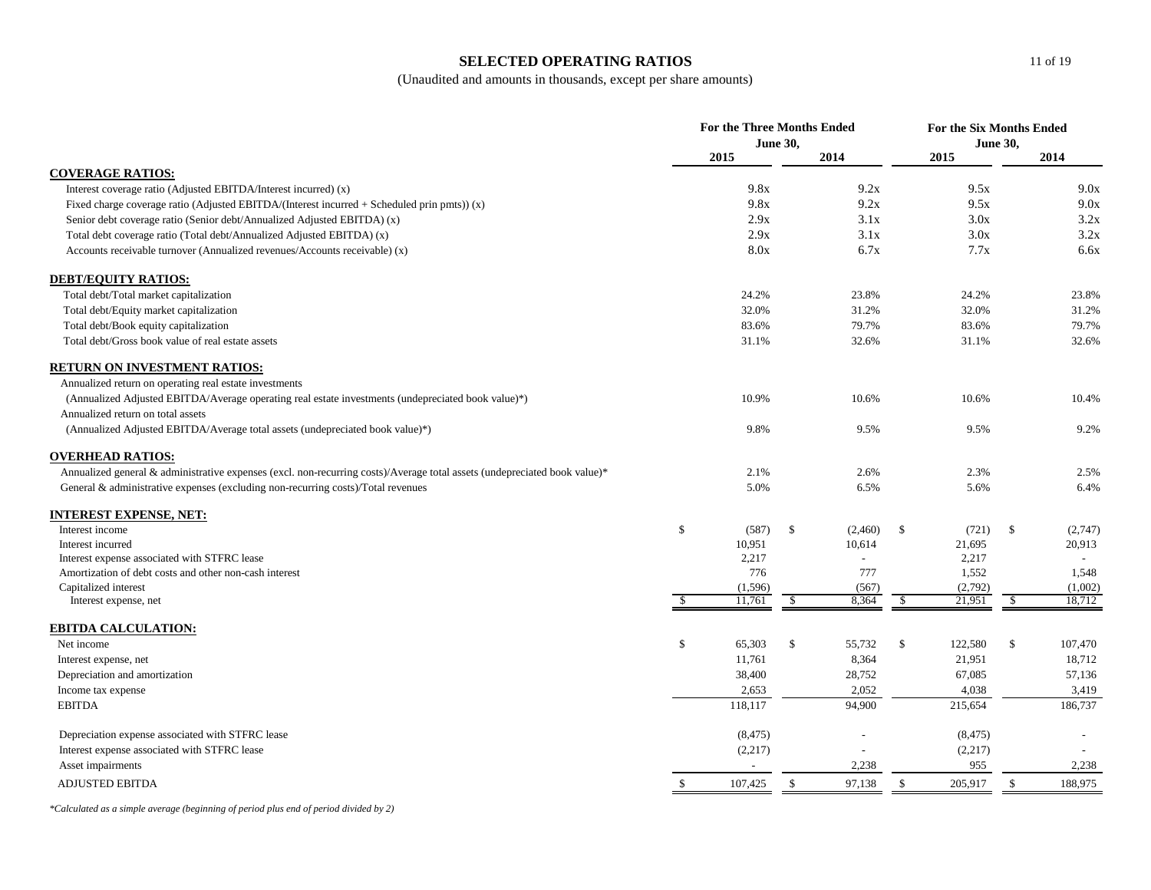### **SELECTED OPERATING RATIOS**

(Unaudited and amounts in thousands, except per share amounts)

|                                                                                                                           |               | For the Three Months Ended<br><b>June 30,</b> |                        |              |          | For the Six Months Ended<br><b>June 30,</b> |         |  |
|---------------------------------------------------------------------------------------------------------------------------|---------------|-----------------------------------------------|------------------------|--------------|----------|---------------------------------------------|---------|--|
|                                                                                                                           |               | 2015                                          | 2014                   |              | 2015     |                                             | 2014    |  |
| <b>COVERAGE RATIOS:</b>                                                                                                   |               |                                               |                        |              |          |                                             |         |  |
| Interest coverage ratio (Adjusted EBITDA/Interest incurred) (x)                                                           |               | 9.8x                                          | 9.2x                   |              | 9.5x     |                                             | 9.0x    |  |
| Fixed charge coverage ratio (Adjusted EBITDA/(Interest incurred + Scheduled prin pmts)) (x)                               |               | 9.8x                                          | 9.2x                   |              | 9.5x     |                                             | 9.0x    |  |
| Senior debt coverage ratio (Senior debt/Annualized Adjusted EBITDA) (x)                                                   |               | 2.9x                                          | 3.1x                   |              | 3.0x     |                                             | 3.2x    |  |
| Total debt coverage ratio (Total debt/Annualized Adjusted EBITDA) (x)                                                     |               | 2.9x                                          | 3.1x                   |              | 3.0x     |                                             | 3.2x    |  |
| Accounts receivable turnover (Annualized revenues/Accounts receivable) (x)                                                |               | 8.0x                                          | 6.7x                   |              | 7.7x     |                                             | 6.6x    |  |
| <b>DEBT/EQUITY RATIOS:</b>                                                                                                |               |                                               |                        |              |          |                                             |         |  |
| Total debt/Total market capitalization                                                                                    |               | 24.2%                                         | 23.8%                  |              | 24.2%    |                                             | 23.8%   |  |
| Total debt/Equity market capitalization                                                                                   |               | 32.0%                                         | 31.2%                  |              | 32.0%    |                                             | 31.2%   |  |
| Total debt/Book equity capitalization                                                                                     |               | 83.6%                                         | 79.7%                  |              | 83.6%    |                                             | 79.7%   |  |
| Total debt/Gross book value of real estate assets                                                                         |               | 31.1%                                         | 32.6%                  |              | 31.1%    |                                             | 32.6%   |  |
| RETURN ON INVESTMENT RATIOS:                                                                                              |               |                                               |                        |              |          |                                             |         |  |
| Annualized return on operating real estate investments                                                                    |               |                                               |                        |              |          |                                             |         |  |
| (Annualized Adjusted EBITDA/Average operating real estate investments (undepreciated book value)*)                        |               | 10.9%                                         | 10.6%                  |              | 10.6%    |                                             | 10.4%   |  |
| Annualized return on total assets                                                                                         |               |                                               |                        |              |          |                                             |         |  |
| (Annualized Adjusted EBITDA/Average total assets (undepreciated book value)*)                                             |               | 9.8%                                          | 9.5%                   |              | 9.5%     |                                             | 9.2%    |  |
| <b>OVERHEAD RATIOS:</b>                                                                                                   |               |                                               |                        |              |          |                                             |         |  |
| Annualized general & administrative expenses (excl. non-recurring costs)/Average total assets (undepreciated book value)* |               | 2.1%                                          | 2.6%                   |              | 2.3%     |                                             | 2.5%    |  |
| General & administrative expenses (excluding non-recurring costs)/Total revenues                                          |               | 5.0%                                          | 6.5%                   |              | 5.6%     |                                             | 6.4%    |  |
| <b>INTEREST EXPENSE, NET:</b>                                                                                             |               |                                               |                        |              |          |                                             |         |  |
| Interest income                                                                                                           | $\mathbb{S}$  | (587)                                         | -S<br>(2,460)          | \$           | (721)    | \$                                          | (2,747) |  |
| Interest incurred                                                                                                         |               | 10,951                                        | 10,614                 |              | 21,695   |                                             | 20,913  |  |
| Interest expense associated with STFRC lease                                                                              |               | 2,217                                         | $\sim$                 |              | 2,217    |                                             | $\sim$  |  |
| Amortization of debt costs and other non-cash interest                                                                    |               | 776                                           | 777                    |              | 1,552    |                                             | 1,548   |  |
| Capitalized interest                                                                                                      |               | (1,596)                                       | (567)                  |              | (2,792)  |                                             | (1,002) |  |
| Interest expense, net                                                                                                     | -S            | 11,761                                        | 8,364<br>- \$          | -\$          | 21,951   | \$                                          | 18,712  |  |
| <b>EBITDA CALCULATION:</b>                                                                                                |               |                                               |                        |              |          |                                             |         |  |
| Net income                                                                                                                | \$            | 65,303                                        | $\mathbb{S}$<br>55,732 | \$           | 122,580  | \$                                          | 107,470 |  |
| Interest expense, net                                                                                                     |               | 11,761                                        | 8,364                  |              | 21,951   |                                             | 18,712  |  |
| Depreciation and amortization                                                                                             |               | 38,400                                        | 28,752                 |              | 67,085   |                                             | 57,136  |  |
| Income tax expense                                                                                                        |               | 2,653                                         | 2,052                  |              | 4,038    |                                             | 3,419   |  |
| <b>EBITDA</b>                                                                                                             |               | 118,117                                       | 94,900                 |              | 215,654  |                                             | 186,737 |  |
| Depreciation expense associated with STFRC lease                                                                          |               | (8, 475)                                      |                        |              | (8, 475) |                                             |         |  |
| Interest expense associated with STFRC lease                                                                              |               | (2,217)                                       |                        |              | (2,217)  |                                             |         |  |
| Asset impairments                                                                                                         |               |                                               | 2,238                  |              | 955      |                                             | 2,238   |  |
| <b>ADJUSTED EBITDA</b>                                                                                                    | <sup>\$</sup> | 107,425                                       | $\mathbb{S}$<br>97,138 | $\mathbb{S}$ | 205,917  | $\mathbb{S}$                                | 188,975 |  |

*\*Calculated as a simple average (beginning of period plus end of period divided by 2)*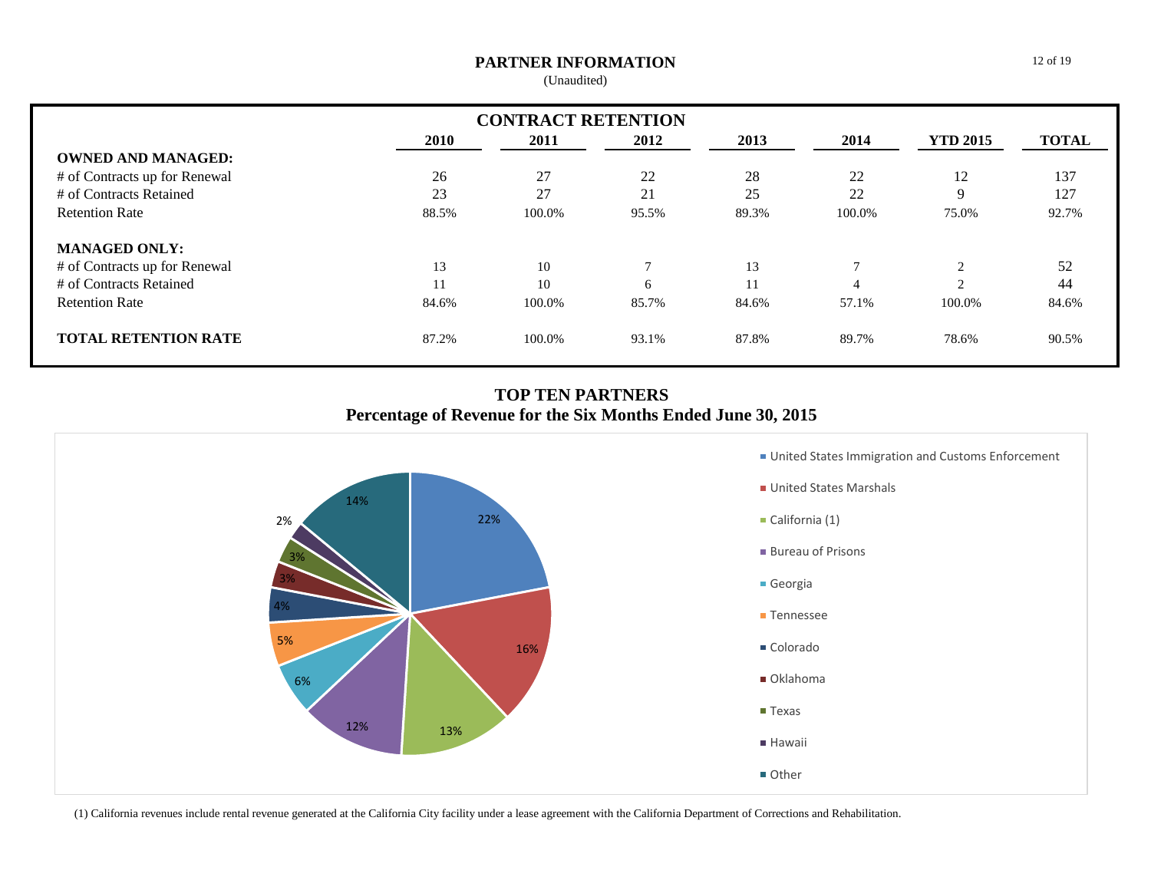### **PARTNER INFORMATION**

(Unaudited)

| <b>CONTRACT RETENTION</b>     |             |        |       |       |        |                 |              |  |  |
|-------------------------------|-------------|--------|-------|-------|--------|-----------------|--------------|--|--|
|                               | <b>2010</b> | 2011   | 2012  | 2013  | 2014   | <b>YTD 2015</b> | <b>TOTAL</b> |  |  |
| <b>OWNED AND MANAGED:</b>     |             |        |       |       |        |                 |              |  |  |
| # of Contracts up for Renewal | 26          | 27     | 22    | 28    | 22     | 12              | 137          |  |  |
| # of Contracts Retained       | 23          | 27     | 21    | 25    | 22     | 9               | 127          |  |  |
| <b>Retention Rate</b>         | 88.5%       | 100.0% | 95.5% | 89.3% | 100.0% | 75.0%           | 92.7%        |  |  |
| <b>MANAGED ONLY:</b>          |             |        |       |       |        |                 |              |  |  |
| # of Contracts up for Renewal | 13          | 10     | 7     | 13    |        | $\overline{c}$  | 52           |  |  |
| # of Contracts Retained       | 11          | 10     | 6     | 11    | 4      | $\bigcap$       | 44           |  |  |
| <b>Retention Rate</b>         | 84.6%       | 100.0% | 85.7% | 84.6% | 57.1%  | 100.0%          | 84.6%        |  |  |
| <b>TOTAL RETENTION RATE</b>   | 87.2%       | 100.0% | 93.1% | 87.8% | 89.7%  | 78.6%           | 90.5%        |  |  |

### **TOP TEN PARTNERS Percentage of Revenue for the Six Months Ended June 30, 2015**



(1) California revenues include rental revenue generated at the California City facility under a lease agreement with the California Department of Corrections and Rehabilitation.

12 of 19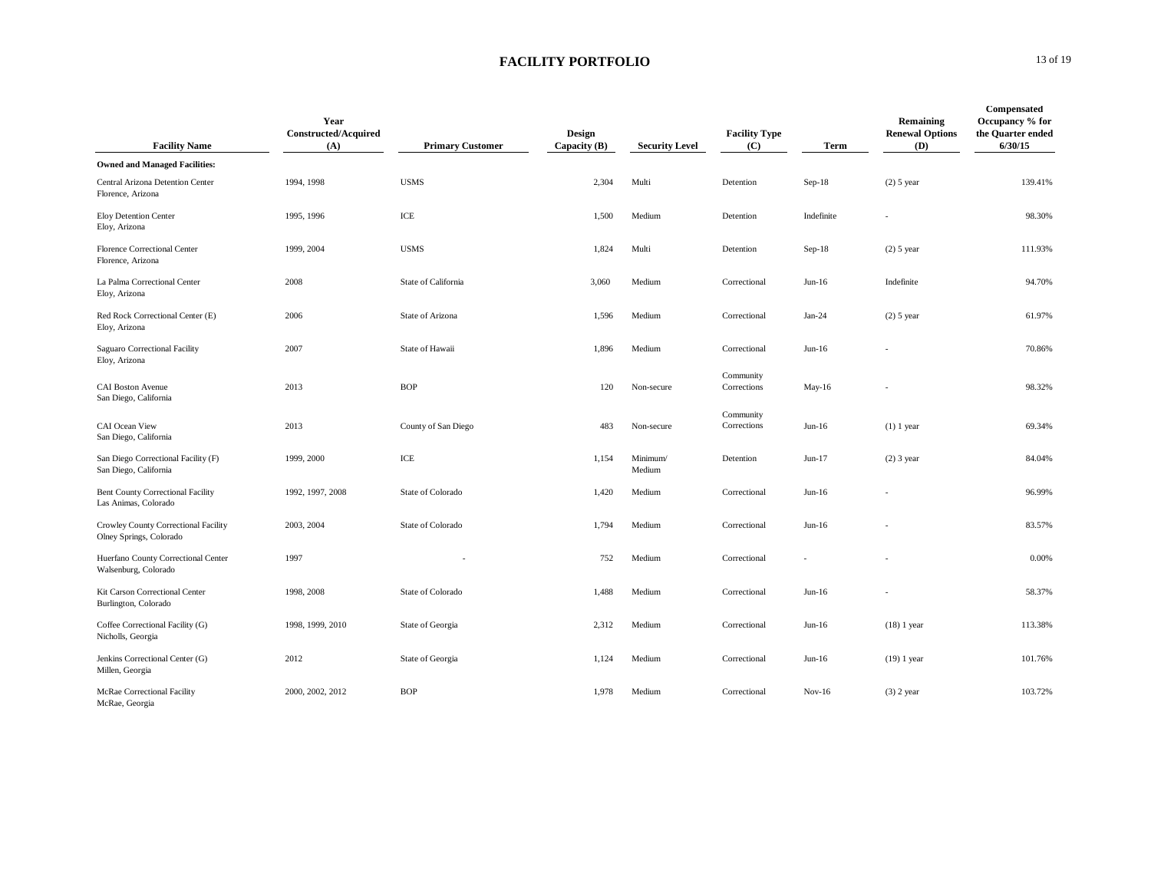### **FACILITY PORTFOLIO** 13 of 19

| <b>Facility Name</b>                                             | Year<br>Constructed/Acquired<br>(A) | <b>Primary Customer</b> | Design<br>Capacity $(B)$ | <b>Security Level</b> | <b>Facility Type</b><br>$\mathbf{C}$ | Term       | Remaining<br><b>Renewal Options</b><br>(D) | Compensated<br>Occupancy % for<br>the Quarter ended<br>6/30/15 |
|------------------------------------------------------------------|-------------------------------------|-------------------------|--------------------------|-----------------------|--------------------------------------|------------|--------------------------------------------|----------------------------------------------------------------|
| <b>Owned and Managed Facilities:</b>                             |                                     |                         |                          |                       |                                      |            |                                            |                                                                |
| Central Arizona Detention Center<br>Florence, Arizona            | 1994, 1998                          | <b>USMS</b>             | 2,304                    | Multi                 | Detention                            | $Sep-18$   | $(2)$ 5 year                               | 139.41%                                                        |
| Eloy Detention Center<br>Eloy, Arizona                           | 1995, 1996                          | ICE                     | 1,500                    | Medium                | Detention                            | Indefinite |                                            | 98.30%                                                         |
| Florence Correctional Center<br>Florence, Arizona                | 1999, 2004                          | <b>USMS</b>             | 1,824                    | Multi                 | Detention                            | $Sep-18$   | $(2)$ 5 year                               | 111.93%                                                        |
| La Palma Correctional Center<br>Eloy, Arizona                    | 2008                                | State of California     | 3,060                    | Medium                | Correctional                         | $Jun-16$   | Indefinite                                 | 94.70%                                                         |
| Red Rock Correctional Center (E)<br>Eloy, Arizona                | 2006                                | State of Arizona        | 1,596                    | Medium                | Correctional                         | $Jan-24$   | $(2)$ 5 year                               | 61.97%                                                         |
| Saguaro Correctional Facility<br>Eloy, Arizona                   | 2007                                | State of Hawaii         | 1,896                    | Medium                | Correctional                         | $Jun-16$   |                                            | 70.86%                                                         |
| <b>CAI Boston Avenue</b><br>San Diego, California                | 2013                                | <b>BOP</b>              | 120                      | Non-secure            | Community<br>Corrections             | $May-16$   |                                            | 98.32%                                                         |
| CAI Ocean View<br>San Diego, California                          | 2013                                | County of San Diego     | 483                      | Non-secure            | Community<br>Corrections             | $Jun-16$   | $(1)$ 1 year                               | 69.34%                                                         |
| San Diego Correctional Facility (F)<br>San Diego, California     | 1999, 2000                          | ICE                     | 1,154                    | Minimum/<br>Medium    | Detention                            | $Jun-17$   | $(2)$ 3 year                               | 84.04%                                                         |
| <b>Bent County Correctional Facility</b><br>Las Animas, Colorado | 1992, 1997, 2008                    | State of Colorado       | 1,420                    | Medium                | Correctional                         | $Jun-16$   |                                            | 96.99%                                                         |
| Crowley County Correctional Facility<br>Olney Springs, Colorado  | 2003, 2004                          | State of Colorado       | 1,794                    | Medium                | Correctional                         | $Jun-16$   |                                            | 83.57%                                                         |
| Huerfano County Correctional Center<br>Walsenburg, Colorado      | 1997                                |                         | 752                      | Medium                | Correctional                         |            |                                            | 0.00%                                                          |
| Kit Carson Correctional Center<br>Burlington, Colorado           | 1998, 2008                          | State of Colorado       | 1,488                    | Medium                | Correctional                         | $Jun-16$   |                                            | 58.37%                                                         |
| Coffee Correctional Facility (G)<br>Nicholls, Georgia            | 1998, 1999, 2010                    | State of Georgia        | 2,312                    | Medium                | Correctional                         | $Jun-16$   | $(18)$ 1 year                              | 113.38%                                                        |
| Jenkins Correctional Center (G)<br>Millen, Georgia               | 2012                                | State of Georgia        | 1,124                    | Medium                | Correctional                         | $Jun-16$   | $(19)$ 1 year                              | 101.76%                                                        |
| McRae Correctional Facility<br>McRae, Georgia                    | 2000, 2002, 2012                    | <b>BOP</b>              | 1,978                    | Medium                | Correctional                         | $Nov-16$   | $(3)$ 2 year                               | 103.72%                                                        |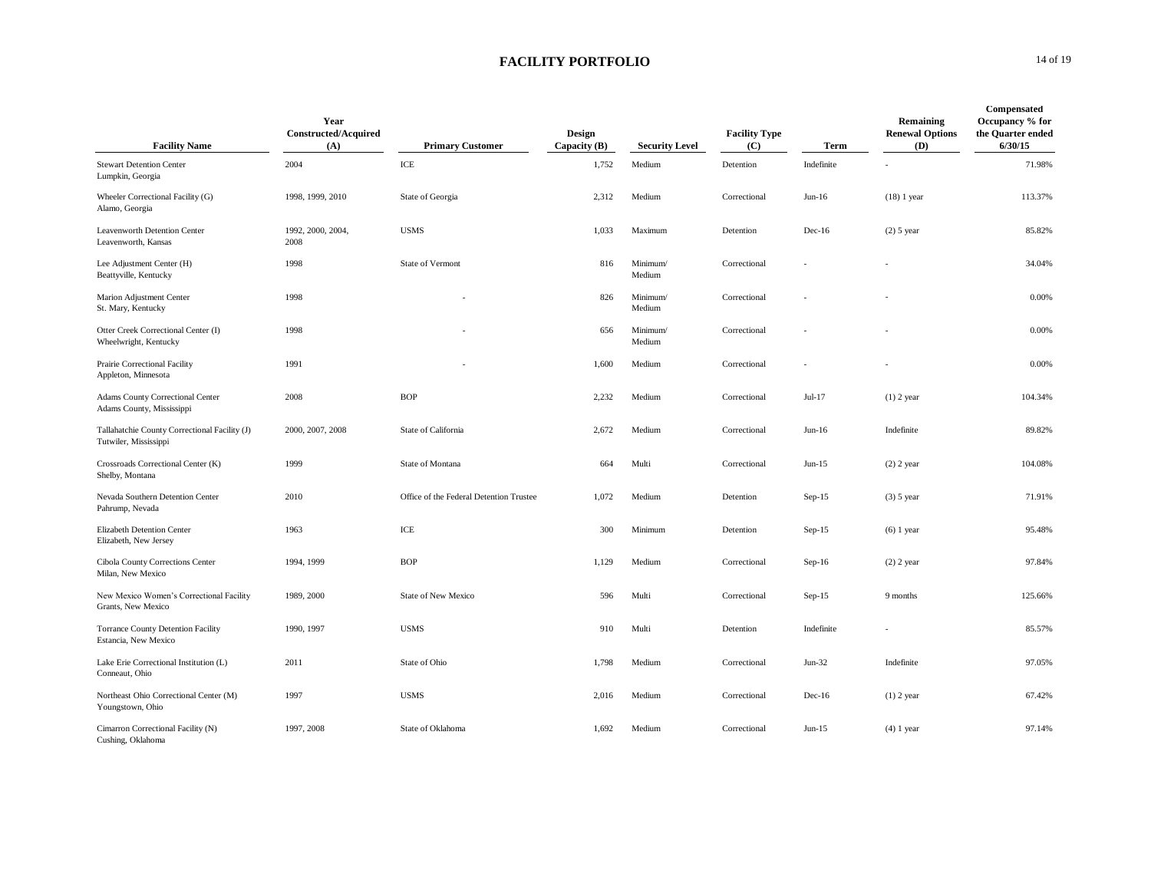### **FACILITY PORTFOLIO** 14 of 19

| <b>Facility Name</b>                                                   | Year<br><b>Constructed/Acquired</b><br>(A) | <b>Primary Customer</b>                 | Design<br>Capacity $(B)$ | <b>Security Level</b> | <b>Facility Type</b><br>(C) | Term       | Remaining<br><b>Renewal Options</b><br>(D) | Compensated<br>Occupancy % for<br>the Quarter ended<br>6/30/15 |
|------------------------------------------------------------------------|--------------------------------------------|-----------------------------------------|--------------------------|-----------------------|-----------------------------|------------|--------------------------------------------|----------------------------------------------------------------|
| <b>Stewart Detention Center</b><br>Lumpkin, Georgia                    | 2004                                       | ICE                                     | 1,752                    | Medium                | Detention                   | Indefinite |                                            | 71.98%                                                         |
| Wheeler Correctional Facility (G)<br>Alamo, Georgia                    | 1998, 1999, 2010                           | State of Georgia                        | 2,312                    | Medium                | Correctional                | $Jun-16$   | $(18)$ 1 year                              | 113.37%                                                        |
| <b>Leavenworth Detention Center</b><br>Leavenworth, Kansas             | 1992, 2000, 2004,<br>2008                  | <b>USMS</b>                             | 1,033                    | Maximum               | Detention                   | $Dec-16$   | $(2)$ 5 year                               | 85.82%                                                         |
| Lee Adjustment Center (H)<br>Beattyville, Kentucky                     | 1998                                       | State of Vermont                        | 816                      | Minimum/<br>Medium    | Correctional                |            |                                            | 34.04%                                                         |
| Marion Adjustment Center<br>St. Mary, Kentucky                         | 1998                                       |                                         | 826                      | Minimum/<br>Medium    | Correctional                |            |                                            | 0.00%                                                          |
| Otter Creek Correctional Center (I)<br>Wheelwright, Kentucky           | 1998                                       |                                         | 656                      | Minimum/<br>Medium    | Correctional                |            |                                            | 0.00%                                                          |
| Prairie Correctional Facility<br>Appleton, Minnesota                   | 1991                                       |                                         | 1,600                    | Medium                | Correctional                |            |                                            | 0.00%                                                          |
| <b>Adams County Correctional Center</b><br>Adams County, Mississippi   | 2008                                       | <b>BOP</b>                              | 2,232                    | Medium                | Correctional                | $Jul-17$   | $(1)$ 2 year                               | 104.34%                                                        |
| Tallahatchie County Correctional Facility (J)<br>Tutwiler, Mississippi | 2000, 2007, 2008                           | State of California                     | 2,672                    | Medium                | Correctional                | $Jun-16$   | Indefinite                                 | 89.82%                                                         |
| Crossroads Correctional Center (K)<br>Shelby, Montana                  | 1999                                       | State of Montana                        | 664                      | Multi                 | Correctional                | $Jun-15$   | $(2)$ 2 year                               | 104.08%                                                        |
| Nevada Southern Detention Center<br>Pahrump, Nevada                    | 2010                                       | Office of the Federal Detention Trustee | 1,072                    | Medium                | Detention                   | $Sep-15$   | $(3)$ 5 year                               | 71.91%                                                         |
| Elizabeth Detention Center<br>Elizabeth, New Jersey                    | 1963                                       | ICE                                     | 300                      | Minimum               | Detention                   | $Sep-15$   | $(6)$ 1 year                               | 95.48%                                                         |
| Cibola County Corrections Center<br>Milan, New Mexico                  | 1994, 1999                                 | <b>BOP</b>                              | 1,129                    | Medium                | Correctional                | $Sep-16$   | $(2)$ 2 year                               | 97.84%                                                         |
| New Mexico Women's Correctional Facility<br>Grants, New Mexico         | 1989, 2000                                 | State of New Mexico                     | 596                      | Multi                 | Correctional                | $Sep-15$   | 9 months                                   | 125.66%                                                        |
| <b>Torrance County Detention Facility</b><br>Estancia, New Mexico      | 1990, 1997                                 | <b>USMS</b>                             | 910                      | Multi                 | Detention                   | Indefinite |                                            | 85.57%                                                         |
| Lake Erie Correctional Institution (L)<br>Conneaut, Ohio               | 2011                                       | State of Ohio                           | 1,798                    | Medium                | Correctional                | $Jun-32$   | Indefinite                                 | 97.05%                                                         |
| Northeast Ohio Correctional Center (M)<br>Youngstown, Ohio             | 1997                                       | <b>USMS</b>                             | 2,016                    | Medium                | Correctional                | $Dec-16$   | $(1)$ 2 year                               | 67.42%                                                         |
| Cimarron Correctional Facility (N)<br>Cushing, Oklahoma                | 1997, 2008                                 | State of Oklahoma                       | 1,692                    | Medium                | Correctional                | $Jun-15$   | $(4)$ 1 year                               | 97.14%                                                         |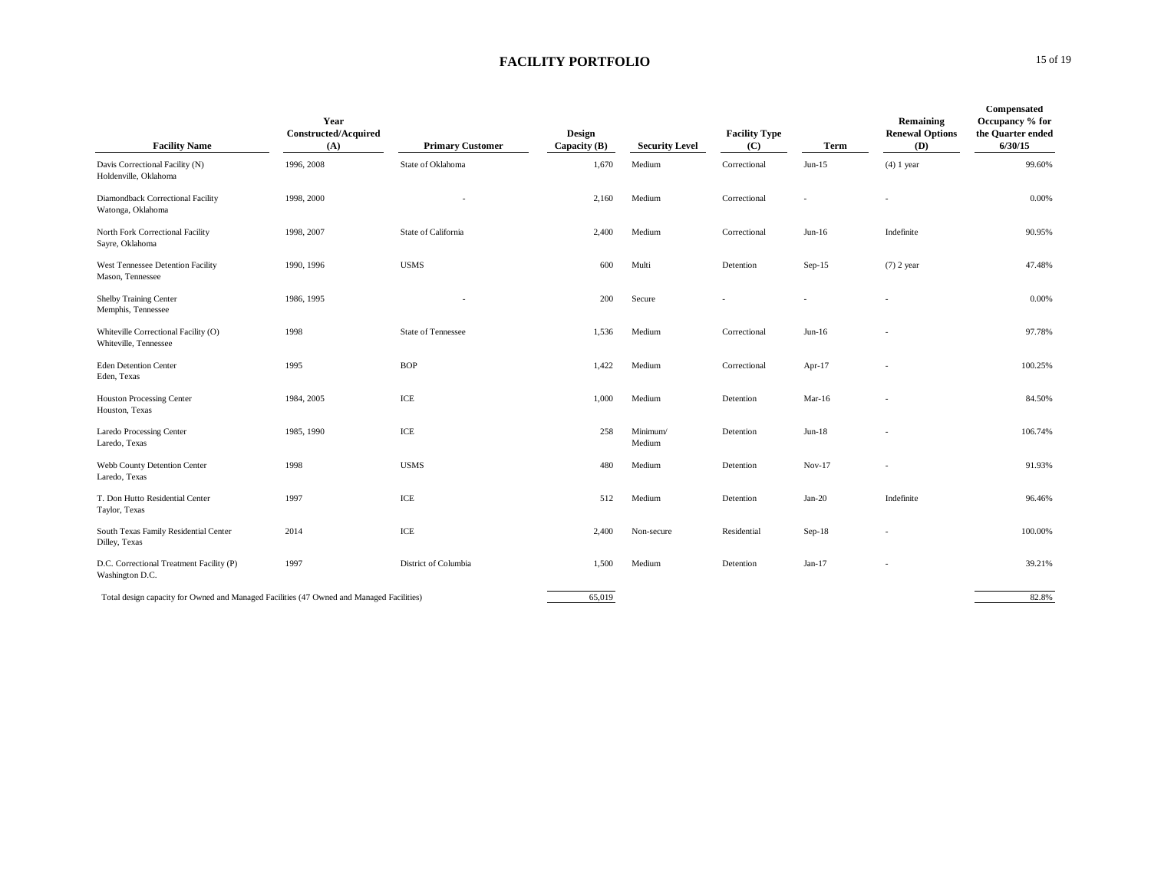### **FACILITY PORTFOLIO** 15 of 19

| <b>Facility Name</b>                                                                     | Year<br><b>Constructed/Acquired</b><br>(A) | <b>Primary Customer</b>   | Design<br>Capacity $(B)$ | <b>Security Level</b> | <b>Facility Type</b><br>(C) | Term      | Remaining<br><b>Renewal Options</b><br>(D) | Compensated<br>Occupancy % for<br>the Quarter ended<br>6/30/15 |
|------------------------------------------------------------------------------------------|--------------------------------------------|---------------------------|--------------------------|-----------------------|-----------------------------|-----------|--------------------------------------------|----------------------------------------------------------------|
| Davis Correctional Facility (N)<br>Holdenville, Oklahoma                                 | 1996, 2008                                 | State of Oklahoma         | 1,670                    | Medium                | Correctional                | $Jun-15$  | $(4)$ 1 year                               | 99.60%                                                         |
| Diamondback Correctional Facility<br>Watonga, Oklahoma                                   | 1998, 2000                                 |                           | 2,160                    | Medium                | Correctional                |           |                                            | 0.00%                                                          |
| North Fork Correctional Facility<br>Sayre, Oklahoma                                      | 1998, 2007                                 | State of California       | 2,400                    | Medium                | Correctional                | $Jun-16$  | Indefinite                                 | 90.95%                                                         |
| West Tennessee Detention Facility<br>Mason, Tennessee                                    | 1990, 1996                                 | <b>USMS</b>               | 600                      | Multi                 | Detention                   | $Sep-15$  | $(7)$ 2 year                               | 47.48%                                                         |
| Shelby Training Center<br>Memphis, Tennessee                                             | 1986, 1995                                 |                           | 200                      | Secure                |                             |           |                                            | 0.00%                                                          |
| Whiteville Correctional Facility (O)<br>Whiteville, Tennessee                            | 1998                                       | <b>State of Tennessee</b> | 1,536                    | Medium                | Correctional                | $Jun-16$  |                                            | 97.78%                                                         |
| <b>Eden Detention Center</b><br>Eden, Texas                                              | 1995                                       | <b>BOP</b>                | 1,422                    | Medium                | Correctional                | Apr- $17$ |                                            | 100.25%                                                        |
| <b>Houston Processing Center</b><br>Houston, Texas                                       | 1984, 2005                                 | ICE                       | 1,000                    | Medium                | Detention                   | Mar- $16$ |                                            | 84.50%                                                         |
| Laredo Processing Center<br>Laredo, Texas                                                | 1985, 1990                                 | ICE                       | 258                      | Minimum/<br>Medium    | Detention                   | $Jun-18$  |                                            | 106.74%                                                        |
| Webb County Detention Center<br>Laredo, Texas                                            | 1998                                       | <b>USMS</b>               | 480                      | Medium                | Detention                   | $Nov-17$  |                                            | 91.93%                                                         |
| T. Don Hutto Residential Center<br>Taylor, Texas                                         | 1997                                       | ICE                       | 512                      | Medium                | Detention                   | $Jan-20$  | Indefinite                                 | 96.46%                                                         |
| South Texas Family Residential Center<br>Dilley, Texas                                   | 2014                                       | ICE                       | 2,400                    | Non-secure            | Residential                 | $Sep-18$  |                                            | 100.00%                                                        |
| D.C. Correctional Treatment Facility (P)<br>Washington D.C.                              | 1997                                       | District of Columbia      | 1,500                    | Medium                | Detention                   | $Jan-17$  | $\overline{\phantom{a}}$                   | 39.21%                                                         |
| Total design capacity for Owned and Managed Facilities (47 Owned and Managed Facilities) |                                            |                           | 65,019                   |                       |                             |           |                                            | 82.8%                                                          |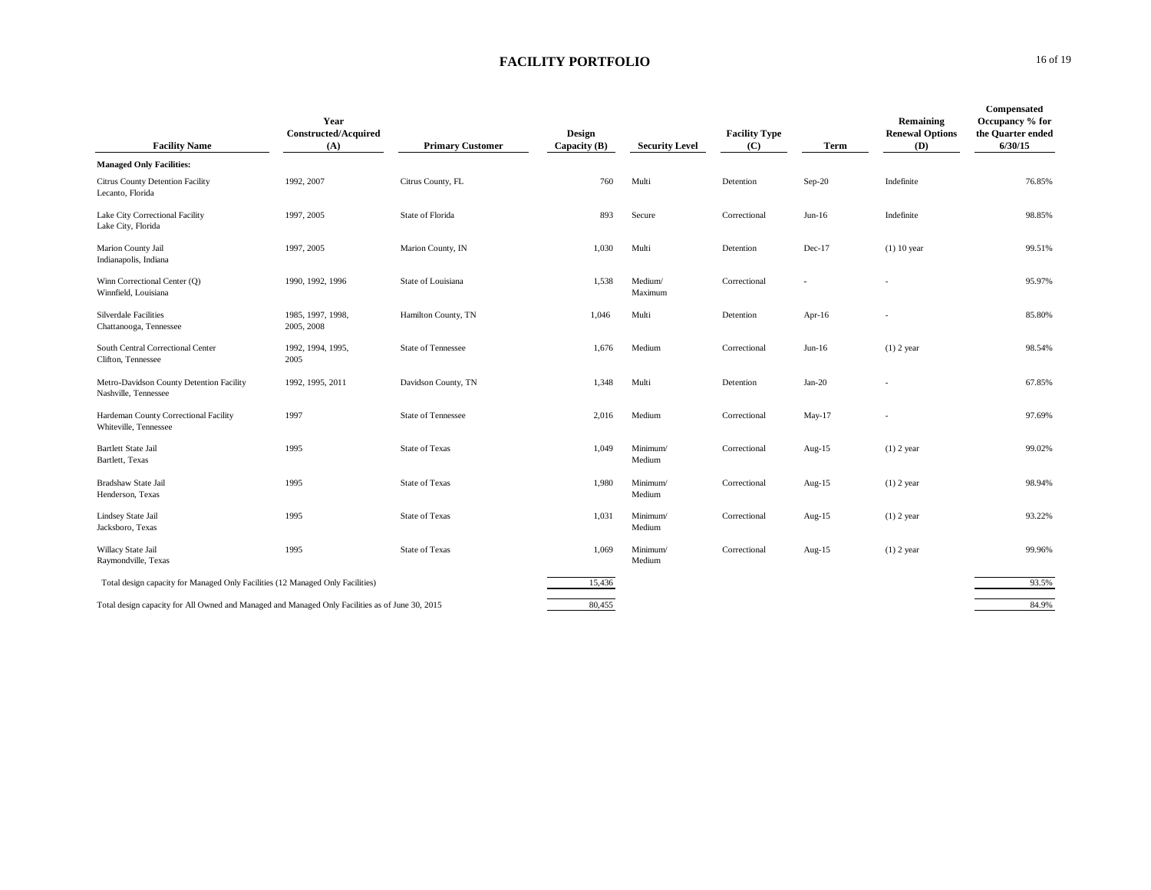### **FACILITY PORTFOLIO** 16 of 19

| <b>Facility Name</b>                                                                            | Year<br><b>Constructed/Acquired</b><br>(A) | <b>Primary Customer</b>   | <b>Design</b><br>Capacity $(B)$ | <b>Security Level</b> | <b>Facility Type</b><br>(C) | Term      | Remaining<br><b>Renewal Options</b><br>(D) | Compensated<br>Occupancy % for<br>the Quarter ended<br>6/30/15 |
|-------------------------------------------------------------------------------------------------|--------------------------------------------|---------------------------|---------------------------------|-----------------------|-----------------------------|-----------|--------------------------------------------|----------------------------------------------------------------|
| <b>Managed Only Facilities:</b>                                                                 |                                            |                           |                                 |                       |                             |           |                                            |                                                                |
| <b>Citrus County Detention Facility</b><br>Lecanto, Florida                                     | 1992, 2007                                 | Citrus County, FL         | 760                             | Multi                 | Detention                   | $Sep-20$  | Indefinite                                 | 76.85%                                                         |
| Lake City Correctional Facility<br>Lake City, Florida                                           | 1997, 2005                                 | State of Florida          | 893                             | Secure                | Correctional                | $Jun-16$  | Indefinite                                 | 98.85%                                                         |
| Marion County Jail<br>Indianapolis, Indiana                                                     | 1997, 2005                                 | Marion County, IN         | 1,030                           | Multi                 | Detention                   | $Dec-17$  | $(1)$ 10 year                              | 99.51%                                                         |
| Winn Correctional Center (Q)<br>Winnfield, Louisiana                                            | 1990, 1992, 1996                           | State of Louisiana        | 1,538                           | Medium/<br>Maximum    | Correctional                |           |                                            | 95.97%                                                         |
| <b>Silverdale Facilities</b><br>Chattanooga, Tennessee                                          | 1985, 1997, 1998,<br>2005, 2008            | Hamilton County, TN       | 1,046                           | Multi                 | Detention                   | Apr- $16$ |                                            | 85.80%                                                         |
| South Central Correctional Center<br>Clifton, Tennessee                                         | 1992, 1994, 1995,<br>2005                  | <b>State of Tennessee</b> | 1,676                           | Medium                | Correctional                | $Jun-16$  | $(1)$ 2 year                               | 98.54%                                                         |
| Metro-Davidson County Detention Facility<br>Nashville, Tennessee                                | 1992, 1995, 2011                           | Davidson County, TN       | 1,348                           | Multi                 | Detention                   | $Jan-20$  |                                            | 67.85%                                                         |
| Hardeman County Correctional Facility<br>Whiteville, Tennessee                                  | 1997                                       | State of Tennessee        | 2,016                           | Medium                | Correctional                | $May-17$  |                                            | 97.69%                                                         |
| <b>Bartlett State Jail</b><br>Bartlett, Texas                                                   | 1995                                       | <b>State of Texas</b>     | 1,049                           | Minimum/<br>Medium    | Correctional                | Aug- $15$ | $(1)$ 2 year                               | 99.02%                                                         |
| Bradshaw State Jail<br>Henderson, Texas                                                         | 1995                                       | <b>State of Texas</b>     | 1,980                           | Minimum/<br>Medium    | Correctional                | Aug-15    | $(1)$ 2 year                               | 98.94%                                                         |
| Lindsey State Jail<br>Jacksboro, Texas                                                          | 1995                                       | <b>State of Texas</b>     | 1,031                           | Minimum/<br>Medium    | Correctional                | Aug- $15$ | $(1)$ 2 year                               | 93.22%                                                         |
| Willacy State Jail<br>Raymondville, Texas                                                       | 1995                                       | <b>State of Texas</b>     | 1,069                           | Minimum/<br>Medium    | Correctional                | Aug- $15$ | $(1)$ 2 year                               | 99.96%                                                         |
| Total design capacity for Managed Only Facilities (12 Managed Only Facilities)                  |                                            |                           | 15,436                          |                       |                             |           |                                            | 93.5%                                                          |
| Total design capacity for All Owned and Managed and Managed Only Facilities as of June 30, 2015 |                                            |                           | 80,455                          |                       |                             |           |                                            | 84.9%                                                          |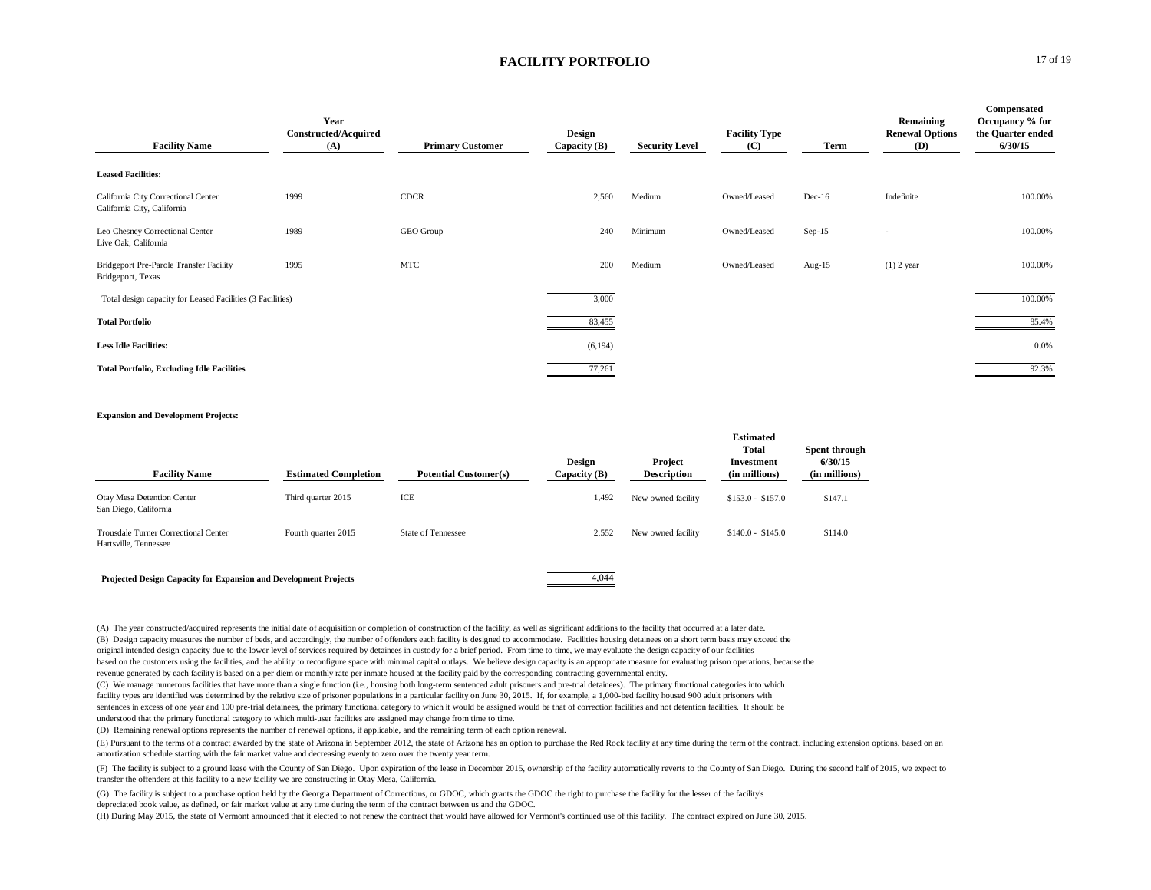#### **FACILITY PORTFOLIO** 17 of 19

| <b>Facility Name</b>                                               | Year<br><b>Constructed/Acquired</b><br>(A) | <b>Primary Customer</b> | Design<br>Capacity $(B)$ | <b>Security Level</b> | <b>Facility Type</b><br>(C) | Term      | Remaining<br><b>Renewal Options</b><br>(D) | <b>Compensated</b><br>Occupancy % for<br>the Quarter ended<br>6/30/15 |
|--------------------------------------------------------------------|--------------------------------------------|-------------------------|--------------------------|-----------------------|-----------------------------|-----------|--------------------------------------------|-----------------------------------------------------------------------|
| <b>Leased Facilities:</b>                                          |                                            |                         |                          |                       |                             |           |                                            |                                                                       |
| California City Correctional Center<br>California City, California | 1999                                       | <b>CDCR</b>             | 2,560                    | Medium                | Owned/Leased                | $Dec-16$  | Indefinite                                 | 100.00%                                                               |
| Leo Chesney Correctional Center<br>Live Oak, California            | 1989                                       | GEO Group               | 240                      | Minimum               | Owned/Leased                | $Sep-15$  | $\overline{\phantom{a}}$                   | 100.00%                                                               |
| Bridgeport Pre-Parole Transfer Facility<br>Bridgeport, Texas       | 1995                                       | <b>MTC</b>              | 200                      | Medium                | Owned/Leased                | Aug- $15$ | $(1)$ 2 year                               | 100.00%                                                               |
| Total design capacity for Leased Facilities (3 Facilities)         |                                            |                         | 3,000                    |                       |                             |           |                                            | 100.00%                                                               |
| <b>Total Portfolio</b>                                             |                                            |                         | 83,455                   |                       |                             |           |                                            | 85.4%                                                                 |
| <b>Less Idle Facilities:</b>                                       |                                            |                         | (6, 194)                 |                       |                             |           |                                            | 0.0%                                                                  |
| <b>Total Portfolio, Excluding Idle Facilities</b>                  |                                            |                         | 77,261                   |                       |                             |           |                                            | 92.3%                                                                 |

#### **Expansion and Development Projects:**

| <b>Facility Name</b>                                             | <b>Estimated Completion</b> | <b>Potential Customer(s)</b> | Design<br>Capacity (B) | Project<br><b>Description</b> | <b>Estimated</b><br>Total<br>Investment<br>(in millions) | Spent through<br>6/30/15<br>(in millions) |
|------------------------------------------------------------------|-----------------------------|------------------------------|------------------------|-------------------------------|----------------------------------------------------------|-------------------------------------------|
| <b>Otay Mesa Detention Center</b><br>San Diego, California       | Third quarter 2015          | ICE                          | 1,492                  | New owned facility            | $$153.0 - $157.0$                                        | \$147.1                                   |
| Trousdale Turner Correctional Center<br>Hartsville, Tennessee    | Fourth quarter 2015         | State of Tennessee           | 2,552                  | New owned facility            | $$140.0 - $145.0$                                        | \$114.0                                   |
| Projected Design Capacity for Expansion and Development Projects |                             |                              | 4,044                  |                               |                                                          |                                           |

(A) The year constructed/acquired represents the initial date of acquisition or completion of construction of the facility, as well as significant additions to the facility that occurred at a later date. (B) Design capacity measures the number of beds, and accordingly, the number of offenders each facility is designed to accommodate. Facilities housing detainees on a short term basis may exceed the original intended design capacity due to the lower level of services required by detainees in custody for a brief period. From time to time, we may evaluate the design capacity of our facilities based on the customers using the facilities, and the ability to reconfigure space with minimal capital outlays. We believe design capacity is an appropriate measure for evaluating prison operations, because the revenue generated by each facility is based on a per diem or monthly rate per inmate housed at the facility paid by the corresponding contracting governmental entity.

(C) We manage numerous facilities that have more than a single function (i.e., housing both long-term sentenced adult prisoners and pre-trial detainees). The primary functional categories into which facility types are identified was determined by the relative size of prisoner populations in a particular facility on June 30, 2015. If, for example, a 1,000-bed facility housed 900 adult prisoners with sentences in excess of one year and 100 pre-trial detainees, the primary functional category to which it would be assigned would be that of correction facilities and not detention facilities. It should be understood that the primary functional category to which multi-user facilities are assigned may change from time to time.

(D) Remaining renewal options represents the number of renewal options, if applicable, and the remaining term of each option renewal.

(E) Pursuant to the terms of a contract awarded by the state of Arizona in September 2012, the state of Arizona has an option to purchase the Red Rock facility at any time during the term of the contract, including extensi amortization schedule starting with the fair market value and decreasing evenly to zero over the twenty year term.

(F) The facility is subject to a ground lease with the County of San Diego. Upon expiration of the lease in December 2015, ownership of the facility automatically reverts to the County of San Diego. During the second half transfer the offenders at this facility to a new facility we are constructing in Otay Mesa, California.

(G) The facility is subject to a purchase option held by the Georgia Department of Corrections, or GDOC, which grants the GDOC the right to purchase the facility for the lesser of the facility's depreciated book value, as defined, or fair market value at any time during the term of the contract between us and the GDOC.

(H) During May 2015, the state of Vermont announced that it elected to not renew the contract that would have allowed for Vermont's continued use of this facility. The contract expired on June 30, 2015.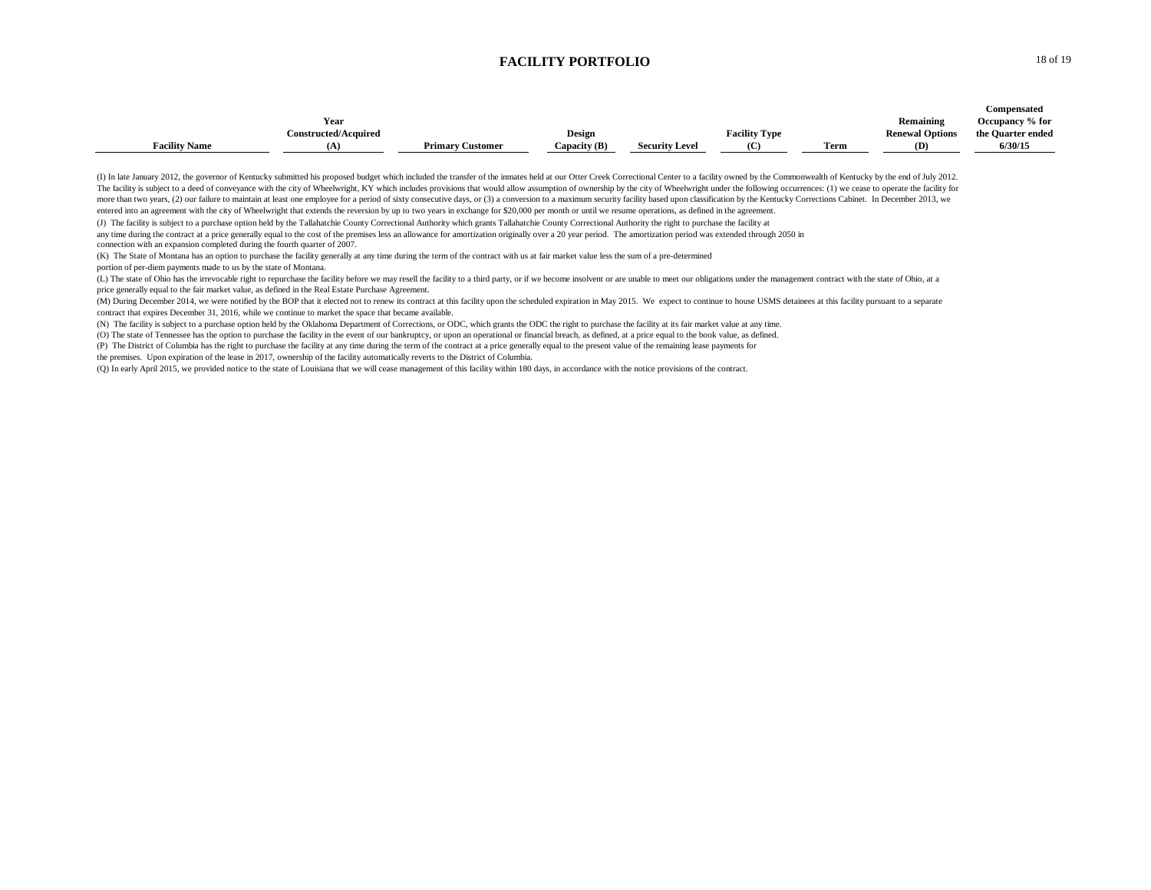#### **FACILITY PORTFOLIO** 18 of 19

|                      |                             |                         |               |                       |                      |      |                        | Compensated       |
|----------------------|-----------------------------|-------------------------|---------------|-----------------------|----------------------|------|------------------------|-------------------|
|                      | Year                        |                         |               |                       |                      |      | Remaining              | Occupancy % for   |
|                      | <b>Constructed/Acquired</b> |                         | <b>Design</b> |                       | <b>Facility Type</b> |      | <b>Renewal Options</b> | the Quarter ended |
| <b>Facility Name</b> | (А                          | <b>Primary Customer</b> | Capacity (B)  | <b>Security Level</b> |                      | Term | (D)                    | 6/30/15           |

(I) In late January 2012, the governor of Kentucky submitted his proposed budget which included the transfer of the inmates held at our Otter Creek Correctional Center to a facility owned by the Commonwealth of Kentucky by The facility is subject to a deed of conveyance with the city of Wheelwright, KY which includes provisions that would allow assumption of ownership by the city of Wheelwright under the following occurrences: (1) we cease t more than two years, (2) our failure to maintain at least one employee for a period of sixty consecutive days, or (3) a conversion to a maximum security facility based upon classification by the Kentucky Corrections Cabine entered into an agreement with the city of Wheelwright that extends the reversion by up to two years in exchange for \$20,000 per month or until we resume operations, as defined in the agreement.

(J) The facility is subject to a purchase option held by the Tallahatchie County Correctional Authority which grants Tallahatchie County Correctional Authority the right to purchase the facility at

any time during the contract at a price generally equal to the cost of the premises less an allowance for amortization originally over a 20 year period. The amortization period was extended through 2050 in connection with an expansion completed during the fourth quarter of 2007.

(K) The State of Montana has an option to purchase the facility generally at any time during the term of the contract with us at fair market value less the sum of a pre-determined

portion of per-diem payments made to us by the state of Montana.

(L) The state of Ohio has the irrevocable right to repurchase the facility before we may resell the facility to a third party, or if we become insolvent or are unable to meet our obligations under the management contract w price generally equal to the fair market value, as defined in the Real Estate Purchase Agreement.

(M) During December 2014, we were notified by the BOP that it elected not to renew its contract at this facility upon the scheduled expiration in May 2015. We expect to continue to house USMS detainees at this facility pur contract that expires December 31, 2016, while we continue to market the space that became available.

(N) The facility is subject to a purchase option held by the Oklahoma Department of Corrections, or ODC, which grants the ODC the right to purchase the facility at its fair market value at any time.

(O) The state of Tennessee has the option to purchase the facility in the event of our bankruptcy, or upon an operational or financial breach, as defined, at a price equal to the book value, as defined.

(P) The District of Columbia has the right to purchase the facility at any time during the term of the contract at a price generally equal to the present value of the remaining lease payments for

the premises. Upon expiration of the lease in 2017, ownership of the facility automatically reverts to the District of Columbia.

(Q) In early April 2015, we provided notice to the state of Louisiana that we will cease management of this facility within 180 days, in accordance with the notice provisions of the contract.